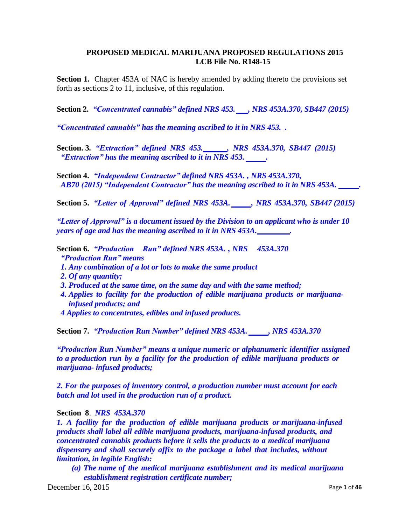### **PROPOSED MEDICAL MARIJUANA PROPOSED REGULATIONS 2015 LCB File No. R148-15**

**Section 1.** Chapter 453A of NAC is hereby amended by adding thereto the provisions set forth as sections 2 to 11, inclusive, of this regulation.

**Section 2.** *"Concentrated cannabis" defined NRS 453. , NRS 453A.370, SB447 (2015)*

*"Concentrated cannabis" has the meaning ascribed to it in NRS 453. .*

**Section. 3***. "Extraction" defined NRS 453. , NRS 453A.370, SB447 (2015) "Extraction" has the meaning ascribed to it in NRS 453. .*

**Section 4.** *"Independent Contractor" defined NRS 453A. , NRS 453A.370, AB70 (2015) "Independent Contractor" has the meaning ascribed to it in NRS 453A. .*

**Section 5.** *"Letter of Approval" defined NRS 453A. , NRS 453A.370, SB447 (2015)*

*"Letter of Approval" is a document issued by the Division to an applicant who is under 10 years of age and has the meaning ascribed to it in NRS 453A. .*

**Section 6.** *"Production Run" defined NRS 453A. , NRS 453A.370 "Production Run" means*

- *1. Any combination of a lot or lots to make the same product*
- *2. Of any quantity;*
- *3. Produced at the same time, on the same day and with the same method;*
- *4. Applies to facility for the production of edible marijuana products or marijuanainfused products; and*
- *4 Applies to concentrates, edibles and infused products.*

**Section 7.** *"Production Run Number" defined NRS 453A. , NRS 453A.370*

*"Production Run Number" means a unique numeric or alphanumeric identifier assigned to a production run by a facility for the production of edible marijuana products or marijuana- infused products;*

*2. For the purposes of inventory control, a production number must account for each batch and lot used in the production run of a product.*

**Section 8**. *NRS 453A.370*

*1. A facility for the production of edible marijuana products or marijuana-infused products shall label all edible marijuana products, marijuana-infused products, and concentrated cannabis products before it sells the products to a medical marijuana dispensary and shall securely affix to the package a label that includes, without limitation, in legible English:*

*(a) The name of the medical marijuana establishment and its medical marijuana establishment registration certificate number;*

**December 16, 2015** Page 1 of **46**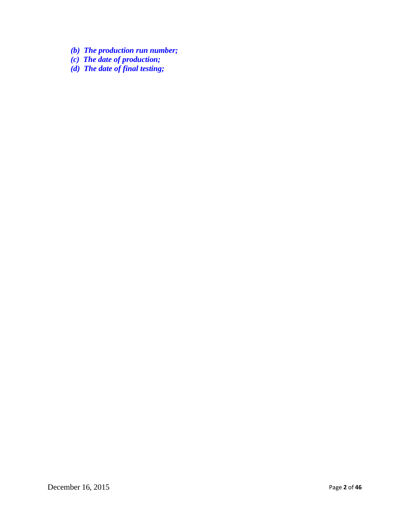- *(b) The production run number;*
- *(c) The date of production;*
- *(d) The date of final testing;*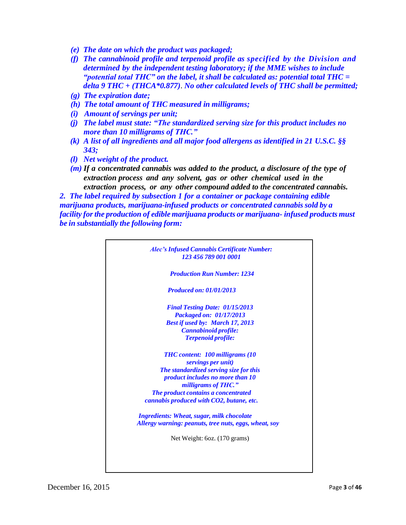- *(e) The date on which the product was packaged;*
- *(f) The cannabinoid profile and terpenoid profile as specified by the Division and determined by the independent testing laboratory; if the MME wishes to include "potential total THC" on the label, it shall be calculated as: potential total THC = delta 9 THC + (THCA\*0.877)*. *No other calculated levels of THC shall be permitted;*
- *(g) The expiration date;*
- *(h) The total amount of THC measured in milligrams;*
- *(i) Amount of servings per unit;*
- *(j) The label must state: "The standardized serving size for this product includes no more than 10 milligrams of THC."*
- *(k) A list of all ingredients and all major food allergens as identified in 21 U.S.C. §§ 343;*
- *(l) Net weight of the product.*
- *(m) If a concentrated cannabis was added to the product, a disclosure of the type of extraction process and any solvent, gas or other chemical used in the extraction process, or any other compound added to the concentrated cannabis.*

*2. The label required by subsection 1 for a container or package containing edible marijuana products, marijuana-infused products or concentrated cannabis sold by a facility forthe production of edible marijuana products or marijuana- infused products must be in substantially the following form:*

| <b>Alec's Infused Cannabis Certificate Number:</b><br>123 456 789 001 0001                                |
|-----------------------------------------------------------------------------------------------------------|
| <b>Production Run Number: 1234</b>                                                                        |
| <b>Produced on: 01/01/2013</b>                                                                            |
| <b>Final Testing Date: 01/15/2013</b><br>Packaged on: 01/17/2013                                          |
| <b>Best if used by: March 17, 2013</b><br>Cannabinoid profile:                                            |
| <b>Terpenoid profile:</b>                                                                                 |
| <b>THC</b> content: 100 milligrams (10)                                                                   |
| servings per unit)<br>The standardized serving size for this                                              |
| product includes no more than 10<br>milligrams of THC."                                                   |
| The product contains a concentrated<br>cannabis produced with CO2, butane, etc.                           |
|                                                                                                           |
| <b>Ingredients: Wheat, sugar, milk chocolate</b><br>Allergy warning: peanuts, tree nuts, eggs, wheat, soy |
| Net Weight: 6oz. (170 grams)                                                                              |
|                                                                                                           |
|                                                                                                           |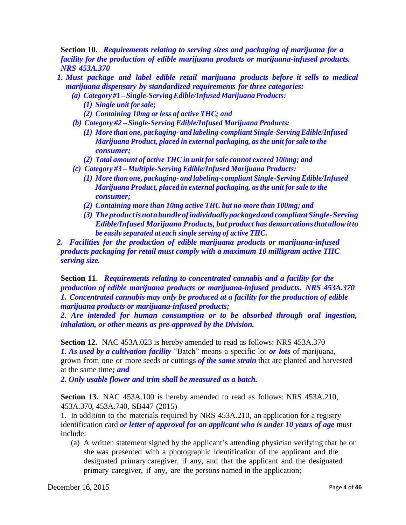**Section 10.** *Requirements relating to serving sizes and packaging of marijuana for a facility for the production of edible marijuana products or marijuana-infused products. NRS 453A.370*

- *1. Must package and label edible retail marijuana products before it sells to medical marijuana dispensary by standardized requirements for three categories:*
	- *(a) Category #1 – Single-ServingEdible/Infused Marijuana Products:*
		- *(1) Single unit for sale;*
		- *(2) Containing 10mg or less of active THC; and*
	- *(b) Category #2 – Single-Serving Edible/Infused Marijuana Products:*
		- *(1) More than one, packaging- and labeling-compliant Single-ServingEdible/Infused Marijuana Product, placed in external packaging, asthe unit for sale to the consumer;*
		- *(2) Total amount of active THC in unit for sale cannot exceed 100mg; and*
	- *(c) Category #3 – Multiple-Serving Edible/Infused Marijuana Products:*
		- *(1) More than one, packaging- and labeling-compliant Single-ServingEdible/Infused Marijuana Product, placed in external packaging, asthe unit for sale to the consumer;*
		- *(2) Containing more than 10mg active THC but no more than 100mg; and*
		- *(3) Theproductisnotabundleofindividuallypackagedand compliantSingle-Serving Edible/Infused Marijuana Products, but product has demarcationsthatallowitto be easily separated at each single serving of active THC.*
- *2. Facilities for the production of edible marijuana products or marijuana-infused products packaging for retail must comply with a maximum 10 milligram active THC serving size.*

**Section 11**. *Requirements relating to concentrated cannabis and a facility for the production of edible marijuana products or marijuana-infused products. NRS 453A.370 1. Concentrated cannabis may only be produced at a facility for the production of edible marijuana products or marijuana-infused products;*

*2. Are intended for human consumption or to be absorbed through oral ingestion, inhalation, or other means as pre-approved by the Division.*

**Section 12.** NAC 453A.023 is hereby amended to read as follows: NRS 453A.370 *1. As used by a cultivation facility* "Batch" means a specific lot *or lots* of marijuana, grown from one or more seeds or cuttings *of the same strain* that are planted and harvested at the same time*; and*

*2. Only usable flower and trim shall be measured as a batch.*

**Section 13.** NAC 453A.100 is hereby amended to read as follows: NRS 453A.210, 453A.370, 453A.740, SB447 (2015)

1. In addition to the materials required by NRS 453A.210, an application for a registry identification card *or letter of approval for an applicant who is under 10 years of age* must include:

(a) A written statement signed by the applicant's attending physician verifying that he or she was presented with a photographic identification of the applicant and the designated primary caregiver, if any, and that the applicant and the designated primary caregiver, if any, are the persons named in the application;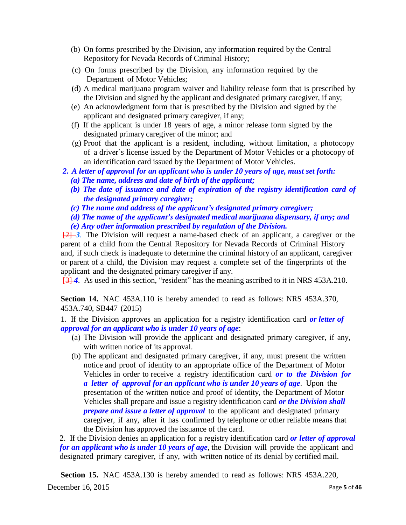- (b) On forms prescribed by the Division, any information required by the Central Repository for Nevada Records of Criminal History;
- (c) On forms prescribed by the Division, any information required by the Department of Motor Vehicles;
- (d) A medical marijuana program waiver and liability release form that is prescribed by the Division and signed by the applicant and designated primary caregiver, if any;
- (e) An acknowledgment form that is prescribed by the Division and signed by the applicant and designated primary caregiver, if any;
- (f) If the applicant is under 18 years of age, a minor release form signed by the designated primary caregiver of the minor; and
- (g) Proof that the applicant is a resident, including, without limitation, a photocopy of a driver's license issued by the Department of Motor Vehicles or a photocopy of an identification card issued by the Department of Motor Vehicles.
- *2. A letter of approval for an applicant who is under 10 years of age, must set forth:*
	- *(a) The name, address and date of birth of the applicant;*
	- *(b) The date of issuance and date of expiration of the registry identification card of the designated primary caregiver;*
	- *(c) The name and address of the applicant's designated primary caregiver;*
	- *(d) The name of the applicant's designated medical marijuana dispensary, if any; and (e) Any other information prescribed by regulation of the Division.*

[2] *3.* The Division will request a name-based check of an applicant, a caregiver or the parent of a child from the Central Repository for Nevada Records of Criminal History and, if such check is inadequate to determine the criminal history of an applicant, caregiver or parent of a child, the Division may request a complete set of the fingerprints of the applicant and the designated primary caregiver if any.

[3] *4*. As used in this section, "resident" has the meaning ascribed to it in NRS 453A.210.

**Section 14.** NAC 453A.110 is hereby amended to read as follows: NRS 453A.370, 453A.740, SB447 (2015)

1. If the Division approves an application for a registry identification card *or letter of approval for an applicant who is under 10 years of age*:

- (a) The Division will provide the applicant and designated primary caregiver, if any, with written notice of its approval.
- (b) The applicant and designated primary caregiver, if any, must present the written notice and proof of identity to an appropriate office of the Department of Motor Vehicles in order to receive a registry identification card *or to the Division for a letter of approval for an applicant who is under 10 years of age*. Upon the presentation of the written notice and proof of identity, the Department of Motor Vehicles shall prepare and issue a registry identification card *or the Division shall prepare and issue a letter of approval* to the applicant and designated primary caregiver, if any, after it has confirmed by telephone or other reliable means that the Division has approved the issuance of the card.

2. If the Division denies an application for a registry identification card *or letter of approval for an applicant who is under 10 years of age*, the Division will provide the applicant and designated primary caregiver, if any, with written notice of its denial by certified mail.

**Section 15.** NAC 453A.130 is hereby amended to read as follows: NRS 453A.220,

**December 16, 2015** Page **5** of **46**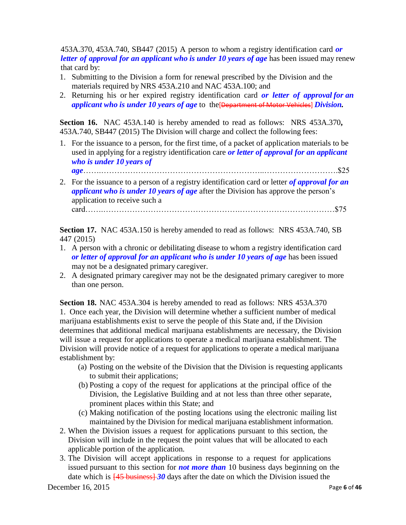453A.370, 453A.740, SB447 (2015) A person to whom a registry identification card *or letter of approval for an applicant who is under 10 years of age* has been issued may renew that card by:

- 1. Submitting to the Division a form for renewal prescribed by the Division and the materials required by NRS 453A.210 and NAC 453A.100; and
- 2. Returning his or her expired registry identification card *or letter of approval for an applicant who is under 10 years of age* to the[Department of Motor Vehicles] *Division.*

**Section 16.** NAC 453A.140 is hereby amended to read as follows: NRS [453A.370](http://leg.state.nv.us/NRS/NRS-453A.html%23NRS453ASec370)**,** [453A.740,](http://leg.state.nv.us/NRS/NRS-453A.html%23NRS453ASec740) SB447 (2015) The Division will charge and collect the following fees:

1. For the issuance to a person, for the first time, of a packet of application materials to be used in applying for a registry identification care *or letter of approval for an applicant who is under 10 years of*

*age*…….……………………………………………………..……………………….\$25

2. For the issuance to a person of a registry identification card or letter *of approval for an applicant who is under 10 years of age* after the Division has approve the person's application to receive such a card…….…………………………………………….………………………………\$75

**Section 17.** NAC 453A.150 is hereby amended to read as follows: NRS 453A.740, SB 447 (2015)

- 1. A person with a chronic or debilitating disease to whom a registry identification card *or letter of approval for an applicant who is under 10 years of age* has been issued may not be a designated primary caregiver.
- 2. A designated primary caregiver may not be the designated primary caregiver to more than one person.

**Section 18.** NAC 453A.304 is hereby amended to read as follows: NRS [453A.370](http://leg.state.nv.us/NRS/NRS-453A.html%23NRS453ASec370) 1. Once each year, the Division will determine whether a sufficient number of medical marijuana establishments exist to serve the people of this State and, if the Division determines that additional medical marijuana establishments are necessary, the Division will issue a request for applications to operate a medical marijuana establishment. The Division will provide notice of a request for applications to operate a medical marijuana establishment by:

- (a) Posting on the website of the Division that the Division is requesting applicants to submit their applications;
- (b) Posting a copy of the request for applications at the principal office of the Division, the Legislative Building and at not less than three other separate, prominent places within this State; and
- (c) Making notification of the posting locations using the electronic mailing list maintained by the Division for medical marijuana establishment information.
- 2. When the Division issues a request for applications pursuant to this section, the Division will include in the request the point values that will be allocated to each applicable portion of the application.
- 3. The Division will accept applications in response to a request for applications issued pursuant to this section for *not more than* 10 business days beginning on the date which is  $\frac{45 \text{ business}}{30}$  days after the date on which the Division issued the

**December 16, 2015** Page **6** of **46**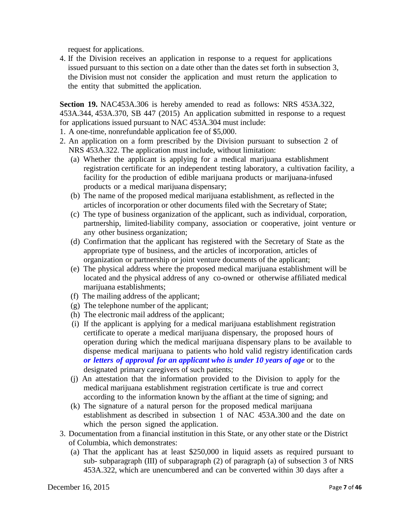request for applications.

4. If the Division receives an application in response to a request for applications issued pursuant to this section on a date other than the dates set forth in subsection 3, the Division must not consider the application and must return the application to the entity that submitted the application.

**Section 19.** NAC453A.306 is hereby amended to read as follows: NRS 453A.322, 453A.344, 453A.370, SB 447 (2015) An application submitted in response to a request for applications issued pursuant to NAC 453A.304 must include:

- 1. A one-time, nonrefundable application fee of \$5,000.
- 2. An application on a form prescribed by the Division pursuant to subsection 2 of NRS 453A.322. The application must include, without limitation:
	- (a) Whether the applicant is applying for a medical marijuana establishment registration certificate for an independent testing laboratory, a cultivation facility, a facility for the production of edible marijuana products or marijuana-infused products or a medical marijuana dispensary;
	- (b) The name of the proposed medical marijuana establishment, as reflected in the articles of incorporation or other documents filed with the Secretary of State;
	- (c) The type of business organization of the applicant, such as individual, corporation, partnership, limited-liability company, association or cooperative, joint venture or any other business organization;
	- (d) Confirmation that the applicant has registered with the Secretary of State as the appropriate type of business, and the articles of incorporation, articles of organization or partnership or joint venture documents of the applicant;
	- (e) The physical address where the proposed medical marijuana establishment will be located and the physical address of any co-owned or otherwise affiliated medical marijuana establishments;
	- (f) The mailing address of the applicant;
	- (g) The telephone number of the applicant;
	- (h) The electronic mail address of the applicant;
	- (i) If the applicant is applying for a medical marijuana establishment registration certificate to operate a medical marijuana dispensary, the proposed hours of operation during which the medical marijuana dispensary plans to be available to dispense medical marijuana to patients who hold valid registry identification cards *or letters of approval for an applicant who is under 10 years of age* or to the designated primary caregivers of such patients;
	- (j) An attestation that the information provided to the Division to apply for the medical marijuana establishment registration certificate is true and correct according to the information known by the affiant at the time of signing; and
	- (k) The signature of a natural person for the proposed medical marijuana establishment as described in subsection 1 of NAC 453A.300 and the date on which the person signed the application.
- 3. Documentation from a financial institution in this State, or any other state or the District of Columbia, which demonstrates:
	- (a) That the applicant has at least \$250,000 in liquid assets as required pursuant to sub- subparagraph (III) of subparagraph (2) of paragraph (a) of subsection 3 of NRS 453A.322, which are unencumbered and can be converted within 30 days after a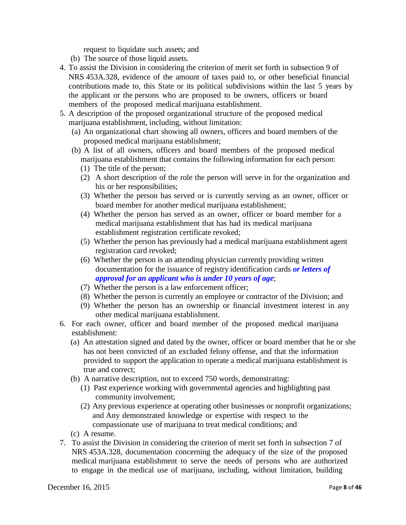request to liquidate such assets; and

- (b) The source of those liquid assets.
- 4. To assist the Division in considering the criterion of merit set forth in subsection 9 of NRS 453A.328, evidence of the amount of taxes paid to, or other beneficial financial contributions made to, this State or its political subdivisions within the last 5 years by the applicant or the persons who are proposed to be owners, officers or board members of the proposed medical marijuana establishment.
- 5. A description of the proposed organizational structure of the proposed medical marijuana establishment, including, without limitation:
	- (a) An organizational chart showing all owners, officers and board members of the proposed medical marijuana establishment;
	- (b) A list of all owners, officers and board members of the proposed medical marijuana establishment that contains the following information for each person:
		- (1) The title of the person;
		- (2) A short description of the role the person will serve in for the organization and his or her responsibilities;
		- (3) Whether the person has served or is currently serving as an owner, officer or board member for another medical marijuana establishment;
		- (4) Whether the person has served as an owner, officer or board member for a medical marijuana establishment that has had its medical marijuana establishment registration certificate revoked;
		- (5) Whether the person has previously had a medical marijuana establishment agent registration card revoked;
		- (6) Whether the person is an attending physician currently providing written documentation for the issuance of registry identification cards *or letters of approval for an applicant who is under 10 years of age*;
		- (7) Whether the person is a law enforcement officer;
		- (8) Whether the person is currently an employee or contractor of the Division; and
		- (9) Whether the person has an ownership or financial investment interest in any other medical marijuana establishment.
- 6. For each owner, officer and board member of the proposed medical marijuana establishment:
	- (a) An attestation signed and dated by the owner, officer or board member that he or she has not been convicted of an excluded felony offense, and that the information provided to support the application to operate a medical marijuana establishment is true and correct;
	- (b) A narrative description, not to exceed 750 words, demonstrating:
		- (1) Past experience working with governmental agencies and highlighting past community involvement;
		- (2) Any previous experience at operating other businesses or nonprofit organizations; and Any demonstrated knowledge or expertise with respect to the compassionate use of marijuana to treat medical conditions; and
	- (c) A resume.
- 7. To assist the Division in considering the criterion of merit set forth in subsection 7 of NRS 453A.328, documentation concerning the adequacy of the size of the proposed medical marijuana establishment to serve the needs of persons who are authorized to engage in the medical use of marijuana, including, without limitation, building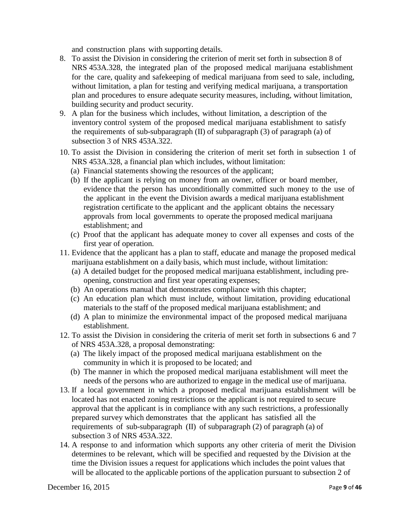and construction plans with supporting details.

- 8. To assist the Division in considering the criterion of merit set forth in subsection 8 of NRS 453A.328, the integrated plan of the proposed medical marijuana establishment for the care, quality and safekeeping of medical marijuana from seed to sale, including, without limitation, a plan for testing and verifying medical marijuana, a transportation plan and procedures to ensure adequate security measures, including, without limitation, building security and product security.
- 9. A plan for the business which includes, without limitation, a description of the inventory control system of the proposed medical marijuana establishment to satisfy the requirements of sub-subparagraph  $(II)$  of subparagraph  $(3)$  of paragraph  $(a)$  of subsection 3 of NRS 453A.322.
- 10. To assist the Division in considering the criterion of merit set forth in subsection 1 of NRS 453A.328, a financial plan which includes, without limitation:
	- (a) Financial statements showing the resources of the applicant;
	- (b) If the applicant is relying on money from an owner, officer or board member, evidence that the person has unconditionally committed such money to the use of the applicant in the event the Division awards a medical marijuana establishment registration certificate to the applicant and the applicant obtains the necessary approvals from local governments to operate the proposed medical marijuana establishment; and
	- (c) Proof that the applicant has adequate money to cover all expenses and costs of the first year of operation.
- 11. Evidence that the applicant has a plan to staff, educate and manage the proposed medical marijuana establishment on a daily basis, which must include, without limitation:
	- (a) A detailed budget for the proposed medical marijuana establishment, including preopening, construction and first year operating expenses;
	- (b) An operations manual that demonstrates compliance with this chapter;
	- (c) An education plan which must include, without limitation, providing educational materials to the staff of the proposed medical marijuana establishment; and
	- (d) A plan to minimize the environmental impact of the proposed medical marijuana establishment.
- 12. To assist the Division in considering the criteria of merit set forth in subsections 6 and 7 of NRS 453A.328, a proposal demonstrating:
	- (a) The likely impact of the proposed medical marijuana establishment on the community in which it is proposed to be located; and
	- (b) The manner in which the proposed medical marijuana establishment will meet the needs of the persons who are authorized to engage in the medical use of marijuana.
- 13. If a local government in which a proposed medical marijuana establishment will be located has not enacted zoning restrictions or the applicant is not required to secure approval that the applicant is in compliance with any such restrictions, a professionally prepared survey which demonstrates that the applicant has satisfied all the requirements of sub-subparagraph (II) of subparagraph (2) of paragraph (a) of subsection 3 of NRS 453A.322.
- 14. A response to and information which supports any other criteria of merit the Division determines to be relevant, which will be specified and requested by the Division at the time the Division issues a request for applications which includes the point values that will be allocated to the applicable portions of the application pursuant to subsection 2 of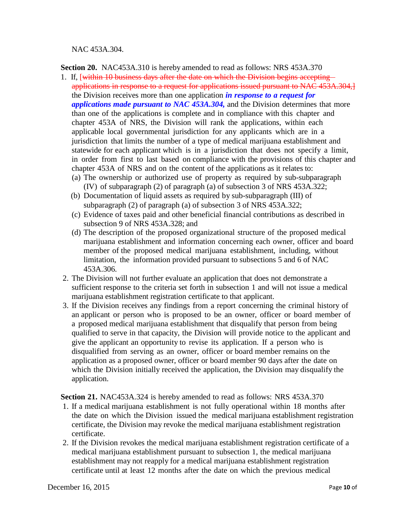NAC 453A.304.

**Section 20.** NAC453A.310 is hereby amended to read as follows: NRS [453A.370](http://leg.state.nv.us/NRS/NRS-453A.html%23NRS453ASec370)

- 1. If, [within 10 business days after the date on which the Division begins accepting applications in response to a request for applications issued pursuant to NAC 453A.304,] the Division receives more than one application *in response to a request for applications made pursuant to NAC 453A.304,* and the Division determines that more than one of the applications is complete and in compliance with this chapter and chapter 453A of NRS, the Division will rank the applications, within each applicable local governmental jurisdiction for any applicants which are in a jurisdiction that limits the number of a type of medical marijuana establishment and statewide for each applicant which is in a jurisdiction that does not specify a limit, in order from first to last based on compliance with the provisions of this chapter and chapter 453A of NRS and on the content of the applications as it relates to:
	- (a) The ownership or authorized use of property as required by sub-subparagraph (IV) of subparagraph (2) of paragraph (a) of subsection 3 of NRS 453A.322;
	- (b) Documentation of liquid assets as required by sub-subparagraph (III) of subparagraph (2) of paragraph (a) of subsection 3 of NRS 453A.322;
	- (c) Evidence of taxes paid and other beneficial financial contributions as described in subsection 9 of NRS 453A.328; and
	- (d) The description of the proposed organizational structure of the proposed medical marijuana establishment and information concerning each owner, officer and board member of the proposed medical marijuana establishment, including, without limitation, the information provided pursuant to subsections 5 and 6 of NAC 453A.306.
- 2. The Division will not further evaluate an application that does not demonstrate a sufficient response to the criteria set forth in subsection 1 and will not issue a medical marijuana establishment registration certificate to that applicant.
- 3. If the Division receives any findings from a report concerning the criminal history of an applicant or person who is proposed to be an owner, officer or board member of a proposed medical marijuana establishment that disqualify that person from being qualified to serve in that capacity, the Division will provide notice to the applicant and give the applicant an opportunity to revise its application. If a person who is disqualified from serving as an owner, officer or board member remains on the application as a proposed owner, officer or board member 90 days after the date on which the Division initially received the application, the Division may disqualify the application.

**Section 21.** NAC453A.324 is hereby amended to read as follows: NRS [453A.370](http://leg.state.nv.us/NRS/NRS-453A.html%23NRS453ASec370)

- 1. If a medical marijuana establishment is not fully operational within 18 months after the date on which the Division issued the medical marijuana establishment registration certificate, the Division may revoke the medical marijuana establishment registration certificate.
- 2. If the Division revokes the medical marijuana establishment registration certificate of a medical marijuana establishment pursuant to subsection 1, the medical marijuana establishment may not reapply for a medical marijuana establishment registration certificate until at least 12 months after the date on which the previous medical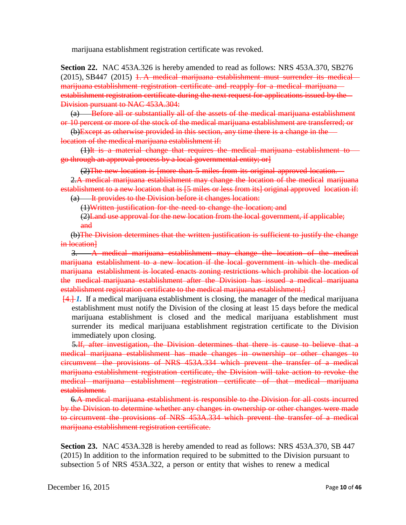marijuana establishment registration certificate was revoked.

**Section 22.** NAC 453A.326 is hereby amended to read as follows: NRS 453A.370, SB276  $(2015)$ , SB447  $(2015)$  1. A medical marijuana establishment must surrender its medical marijuana establishment registration certificate and reapply for a medical marijuana establishment registration certificate during the next request for applications issued by the Division pursuant to NAC 453A.304:

(a) Before all or substantially all of the assets of the medical marijuana establishment or 10 percent or more of the stock of the medical marijuana establishment are transferred; or

(b)Except as otherwise provided in this section, any time there is a change in the location of the medical marijuana establishment if:

(1)It is a material change that requires the medical marijuana establishment to go through an approval process by a local governmental entity; or]

(2)The new location is [more than 5 miles from its original approved location.

2.A medical marijuana establishment may change the location of the medical marijuana establishment to a new location that is [5 miles or less from its] original approved location if: (a) It provides to the Division before it changes location:

(1)Written justification for the need to change the location; and

(2)Land use approval for the new location from the local government, if applicable; and

(b)The Division determines that the written justification is sufficient to justify the change in location]

3. A medical marijuana establishment may change the location of the medical marijuana establishment to a new location if the local government in which the medical marijuana establishment is located enacts zoning restrictions which prohibit the location of the medical marijuana establishment after the Division has issued a medical marijuana establishment registration certificate to the medical marijuana establishment.]

[4.] *1.* If a medical marijuana establishment is closing, the manager of the medical marijuana establishment must notify the Division of the closing at least 15 days before the medical marijuana establishment is closed and the medical marijuana establishment must surrender its medical marijuana establishment registration certificate to the Division immediately upon closing.

5.If, after investigation, the Division determines that there is cause to believe that a medical marijuana establishment has made changes in ownership or other changes to circumvent the provisions of NRS 453A.334 which prevent the transfer of a medical marijuana establishment registration certificate, the Division will take action to revoke the medical marijuana establishment registration certificate of that medical marijuana establishment.

6.A medical marijuana establishment is responsible to the Division for all costs incurred by the Division to determine whether any changes in ownership or other changes were made to circumvent the provisions of NRS 453A.334 which prevent the transfer of a medical marijuana establishment registration certificate.

**Section 23.** NAC 453A.328 is hereby amended to read as follows: NRS 453A.370, SB 447 (2015) In addition to the information required to be submitted to the Division pursuant to subsection 5 of NRS 453A.322, a person or entity that wishes to renew a medical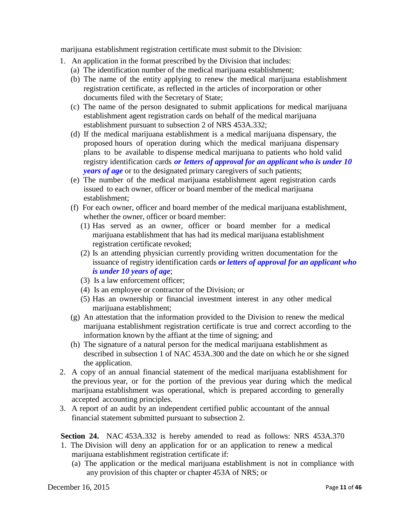marijuana establishment registration certificate must submit to the Division:

- 1. An application in the format prescribed by the Division that includes:
	- (a) The identification number of the medical marijuana establishment;
	- (b) The name of the entity applying to renew the medical marijuana establishment registration certificate, as reflected in the articles of incorporation or other documents filed with the Secretary of State;
	- (c) The name of the person designated to submit applications for medical marijuana establishment agent registration cards on behalf of the medical marijuana establishment pursuant to subsection 2 of NRS 453A.332;
	- (d) If the medical marijuana establishment is a medical marijuana dispensary, the proposed hours of operation during which the medical marijuana dispensary plans to be available to dispense medical marijuana to patients who hold valid registry identification cards *or letters of approval for an applicant who is under 10 years of age* or to the designated primary caregivers of such patients;
	- (e) The number of the medical marijuana establishment agent registration cards issued to each owner, officer or board member of the medical marijuana establishment;
	- (f) For each owner, officer and board member of the medical marijuana establishment, whether the owner, officer or board member:
		- (1) Has served as an owner, officer or board member for a medical marijuana establishment that has had its medical marijuana establishment registration certificate revoked;
		- (2) Is an attending physician currently providing written documentation for the issuance of registry identification cards *or letters of approval for an applicant who is under 10 years of age*;
		- (3) Is a law enforcement officer;
		- (4) Is an employee or contractor of the Division; or
		- (5) Has an ownership or financial investment interest in any other medical marijuana establishment;
	- (g) An attestation that the information provided to the Division to renew the medical marijuana establishment registration certificate is true and correct according to the information known by the affiant at the time of signing; and
	- (h) The signature of a natural person for the medical marijuana establishment as described in subsection 1 of NAC 453A.300 and the date on which he or she signed the application.
- 2. A copy of an annual financial statement of the medical marijuana establishment for the previous year, or for the portion of the previous year during which the medical marijuana establishment was operational, which is prepared according to generally accepted accounting principles.
- 3. A report of an audit by an independent certified public accountant of the annual financial statement submitted pursuant to subsection 2.

**Section 24.** NAC 453A.332 is hereby amended to read as follows: NRS 453A.370

- 1. The Division will deny an application for or an application to renew a medical marijuana establishment registration certificate if:
	- (a) The application or the medical marijuana establishment is not in compliance with any provision of this chapter or chapter 453A of NRS; or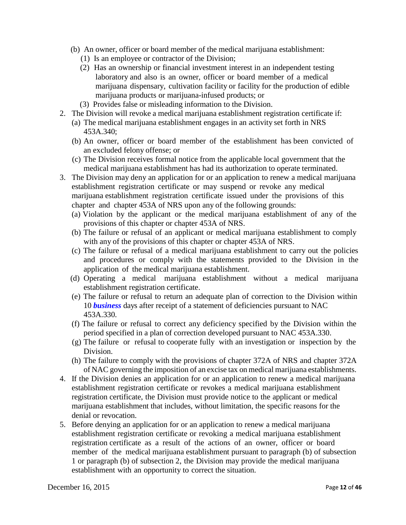- (b) An owner, officer or board member of the medical marijuana establishment:
	- (1) Is an employee or contractor of the Division;
	- (2) Has an ownership or financial investment interest in an independent testing laboratory and also is an owner, officer or board member of a medical marijuana dispensary, cultivation facility or facility for the production of edible marijuana products or marijuana-infused products; or
	- (3) Provides false or misleading information to the Division.
- 2. The Division will revoke a medical marijuana establishment registration certificate if:
	- (a) The medical marijuana establishment engages in an activity set forth in NRS 453A.340;
	- (b) An owner, officer or board member of the establishment has been convicted of an excluded felony offense; or
	- (c) The Division receives formal notice from the applicable local government that the medical marijuana establishment has had its authorization to operate terminated.
- 3. The Division may deny an application for or an application to renew a medical marijuana establishment registration certificate or may suspend or revoke any medical marijuana establishment registration certificate issued under the provisions of this chapter and chapter 453A of NRS upon any of the following grounds:
	- (a) Violation by the applicant or the medical marijuana establishment of any of the provisions of this chapter or chapter 453A of NRS.
	- (b) The failure or refusal of an applicant or medical marijuana establishment to comply with any of the provisions of this chapter or chapter 453A of NRS.
	- (c) The failure or refusal of a medical marijuana establishment to carry out the policies and procedures or comply with the statements provided to the Division in the application of the medical marijuana establishment.
	- (d) Operating a medical marijuana establishment without a medical marijuana establishment registration certificate.
	- (e) The failure or refusal to return an adequate plan of correction to the Division within 10 *business* days after receipt of a statement of deficiencies pursuant to NAC 453A.330.
	- (f) The failure or refusal to correct any deficiency specified by the Division within the period specified in a plan of correction developed pursuant to NAC 453A.330.
	- (g) The failure or refusal to cooperate fully with an investigation or inspection by the Division.
	- (h) The failure to comply with the provisions of chapter 372A of NRS and chapter 372A of NAC governing the imposition of an excise tax on medical marijuana establishments.
- 4. If the Division denies an application for or an application to renew a medical marijuana establishment registration certificate or revokes a medical marijuana establishment registration certificate, the Division must provide notice to the applicant or medical marijuana establishment that includes, without limitation, the specific reasons for the denial or revocation.
- 5. Before denying an application for or an application to renew a medical marijuana establishment registration certificate or revoking a medical marijuana establishment registration certificate as a result of the actions of an owner, officer or board member of the medical marijuana establishment pursuant to paragraph (b) of subsection 1 or paragraph (b) of subsection 2, the Division may provide the medical marijuana establishment with an opportunity to correct the situation.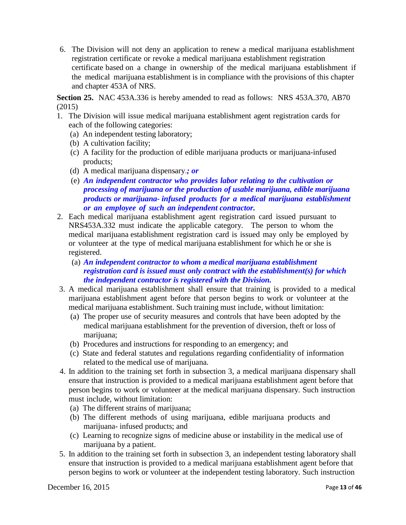6. The Division will not deny an application to renew a medical marijuana establishment registration certificate or revoke a medical marijuana establishment registration certificate based on a change in ownership of the medical marijuana establishment if the medical marijuana establishment is in compliance with the provisions of this chapter and chapter 453A of NRS.

**Section 25.** NAC 453A.336 is hereby amended to read as follows: NRS 453A.370, AB70 (2015)

- 1. The Division will issue medical marijuana establishment agent registration cards for each of the following categories:
	- (a) An independent testing laboratory;
	- (b) A cultivation facility;
	- (c) A facility for the production of edible marijuana products or marijuana-infused products;
	- (d) A medical marijuana dispensary.*; or*
	- (e) *An independent contractor who provides labor relating to the cultivation or processing of marijuana or the production of usable marijuana, edible marijuana products or marijuana- infused products for a medical marijuana establishment or an employee of such an independent contractor.*
- 2. Each medical marijuana establishment agent registration card issued pursuant to NRS453A.332 must indicate the applicable category. The person to whom the medical marijuana establishment registration card is issued may only be employed by or volunteer at the type of medical marijuana establishment for which he or she is registered.
	- (a) *An independent contractor to whom a medical marijuana establishment registration card is issued must only contract with the establishment(s) for which the independent contractor is registered with the Division.*
- 3. A medical marijuana establishment shall ensure that training is provided to a medical marijuana establishment agent before that person begins to work or volunteer at the medical marijuana establishment. Such training must include, without limitation:
	- (a) The proper use of security measures and controls that have been adopted by the medical marijuana establishment for the prevention of diversion, theft or loss of marijuana;
	- (b) Procedures and instructions for responding to an emergency; and
	- (c) State and federal statutes and regulations regarding confidentiality of information related to the medical use of marijuana.
- 4. In addition to the training set forth in subsection 3, a medical marijuana dispensary shall ensure that instruction is provided to a medical marijuana establishment agent before that person begins to work or volunteer at the medical marijuana dispensary. Such instruction must include, without limitation:
	- (a) The different strains of marijuana;
	- (b) The different methods of using marijuana, edible marijuana products and marijuana- infused products; and
	- (c) Learning to recognize signs of medicine abuse or instability in the medical use of marijuana by a patient.
- 5. In addition to the training set forth in subsection 3, an independent testing laboratory shall ensure that instruction is provided to a medical marijuana establishment agent before that person begins to work or volunteer at the independent testing laboratory. Such instruction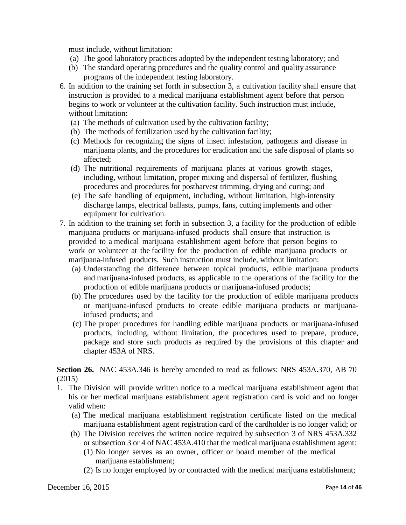must include, without limitation:

- (a) The good laboratory practices adopted by the independent testing laboratory; and
- (b) The standard operating procedures and the quality control and quality assurance programs of the independent testing laboratory.
- 6. In addition to the training set forth in subsection 3, a cultivation facility shall ensure that instruction is provided to a medical marijuana establishment agent before that person begins to work or volunteer at the cultivation facility. Such instruction must include, without limitation:
	- (a) The methods of cultivation used by the cultivation facility;
	- (b) The methods of fertilization used by the cultivation facility;
	- (c) Methods for recognizing the signs of insect infestation, pathogens and disease in marijuana plants, and the procedures for eradication and the safe disposal of plants so affected;
	- (d) The nutritional requirements of marijuana plants at various growth stages, including, without limitation, proper mixing and dispersal of fertilizer, flushing procedures and procedures for postharvest trimming, drying and curing; and
	- (e) The safe handling of equipment, including, without limitation, high-intensity discharge lamps, electrical ballasts, pumps, fans, cutting implements and other equipment for cultivation.
- 7. In addition to the training set forth in subsection 3, a facility for the production of edible marijuana products or marijuana-infused products shall ensure that instruction is provided to a medical marijuana establishment agent before that person begins to work or volunteer at the facility for the production of edible marijuana products or marijuana-infused products. Such instruction must include, without limitation:
	- (a) Understanding the difference between topical products, edible marijuana products and marijuana-infused products, as applicable to the operations of the facility for the production of edible marijuana products or marijuana-infused products;
	- (b) The procedures used by the facility for the production of edible marijuana products or marijuana-infused products to create edible marijuana products or marijuanainfused products; and
	- (c) The proper procedures for handling edible marijuana products or marijuana-infused products, including, without limitation, the procedures used to prepare, produce, package and store such products as required by the provisions of this chapter and chapter 453A of NRS.

**Section 26.** NAC 453A.346 is hereby amended to read as follows: NRS 453A.370, AB 70 (2015)

- 1. The Division will provide written notice to a medical marijuana establishment agent that his or her medical marijuana establishment agent registration card is void and no longer valid when:
	- (a) The medical marijuana establishment registration certificate listed on the medical marijuana establishment agent registration card of the cardholder is no longer valid; or
	- (b) The Division receives the written notice required by subsection 3 of NRS 453A.332 or subsection 3 or 4 of NAC 453A.410 that the medical marijuana establishment agent:
		- (1) No longer serves as an owner, officer or board member of the medical marijuana establishment;
		- (2) Is no longer employed by or contracted with the medical marijuana establishment;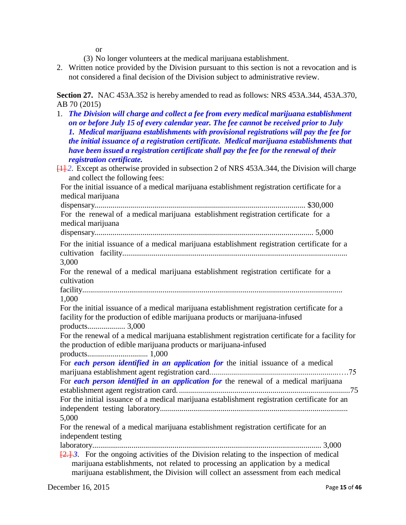or

- (3) No longer volunteers at the medical marijuana establishment.
- 2. Written notice provided by the Division pursuant to this section is not a revocation and is not considered a final decision of the Division subject to administrative review.

**Section 27.** NAC 453A.352 is hereby amended to read as follows: NRS 453A.344, 453A.370, AB 70 (2015)

1. *The Division will charge and collect a fee from every medical marijuana establishment on or before July 15 of every calendar year. The fee cannot be received prior to July 1. Medical marijuana establishments with provisional registrations will pay the fee for the initial issuance of a registration certificate. Medical marijuana establishments that have been issued a registration certificate shall pay the fee for the renewal of their registration certificate.* [1] *2*. Except as otherwise provided in subsection 2 of NRS 453A.344, the Division will charge and collect the following fees: For the initial issuance of a medical marijuana establishment registration certificate for a medical marijuana dispensary.......................................................................................................... \$30,000 For the renewal of a medical marijuana establishment registration certificate for a medical marijuana dispensary.............................................................................................................. 5,000 For the initial issuance of a medical marijuana establishment registration certificate for a cultivation facility................................................................................................................... 3,000 For the renewal of a medical marijuana establishment registration certificate for a cultivation facility..................................................................................................................................... 1,000 For the initial issuance of a medical marijuana establishment registration certificate for a facility for the production of edible marijuana products or marijuana-infused products................... 3,000 For the renewal of a medical marijuana establishment registration certificate for a facility for the production of edible marijuana products or marijuana-infused products............................... 1,000 For *each person identified in an application for* the initial issuance of a medical marijuana establishment agent registration card.................................................................….75 For *each person identified in an application for* the renewal of a medical marijuana establishment agent registration card. ......................................................................................75 For the initial issuance of a medical marijuana establishment registration certificate for an independent testing laboratory................................................................................................ 5,000 For the renewal of a medical marijuana establishment registration certificate for an independent testing laboratory..................................................................................................................... 3,000 [2.] *3*. For the ongoing activities of the Division relating to the inspection of medical marijuana establishments, not related to processing an application by a medical marijuana establishment, the Division will collect an assessment from each medical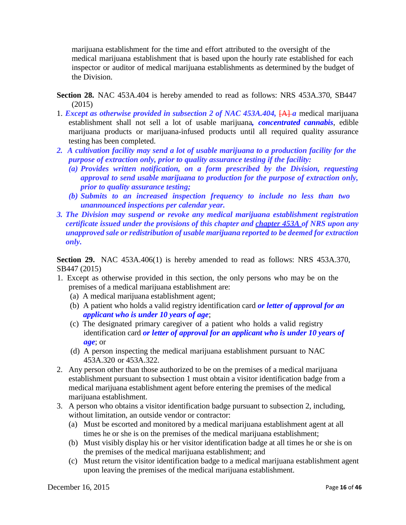marijuana establishment for the time and effort attributed to the oversight of the medical marijuana establishment that is based upon the hourly rate established for each inspector or auditor of medical marijuana establishments as determined by the budget of the Division.

- **Section 28.** NAC 453A.404 is hereby amended to read as follows: NRS 453A.370, SB447 (2015)
- 1. *Except as otherwise provided in subsection 2 of NAC 453A.404,* [A] *a* medical marijuana establishment shall not sell a lot of usable marijuana*, concentrated cannabis*, edible marijuana products or marijuana-infused products until all required quality assurance testing has been completed.
- *2. A cultivation facility may send a lot of usable marijuana to a production facility for the purpose of extraction only, prior to quality assurance testing if the facility:*
	- *(a) Provides written notification, on a form prescribed by the Division, requesting approval to send usable marijuana to production for the purpose of extraction only, prior to quality assurance testing;*
	- *(b) Submits to an increased inspection frequency to include no less than two unannounced inspections per calendar year.*
- *3. The Division may suspend or revoke any medical marijuana establishment registration certificate issued under the provisions of this chapter and [chapter](http://www.leg.state.nv.us/NRS/NRS-453A.html#NRS453A) 453A of NRS upon any unapproved sale or redistribution of usable marijuana reported to be deemed for extraction only.*

**Section 29.** NAC 453A.406(1) is hereby amended to read as follows: NRS 453A.370, SB447 (2015)

- 1. Except as otherwise provided in this section, the only persons who may be on the premises of a medical marijuana establishment are:
	- (a) A medical marijuana establishment agent;
	- (b) A patient who holds a valid registry identification card *or letter of approval for an applicant who is under 10 years of age*;
	- (c) The designated primary caregiver of a patient who holds a valid registry identification card *or letter of approval for an applicant who is under 10 years of age*; or
	- (d) A person inspecting the medical marijuana establishment pursuant to NAC 453A.320 or 453A.322.
- 2. Any person other than those authorized to be on the premises of a medical marijuana establishment pursuant to subsection 1 must obtain a visitor identification badge from a medical marijuana establishment agent before entering the premises of the medical marijuana establishment.
- 3. A person who obtains a visitor identification badge pursuant to subsection 2, including, without limitation, an outside vendor or contractor:
	- (a) Must be escorted and monitored by a medical marijuana establishment agent at all times he or she is on the premises of the medical marijuana establishment;
	- (b) Must visibly display his or her visitor identification badge at all times he or she is on the premises of the medical marijuana establishment; and
	- (c) Must return the visitor identification badge to a medical marijuana establishment agent upon leaving the premises of the medical marijuana establishment.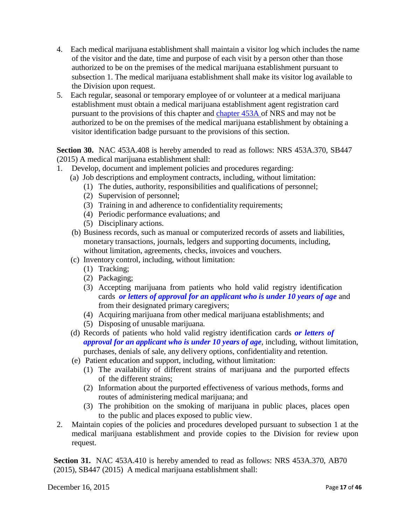- 4. Each medical marijuana establishment shall maintain a visitor log which includes the name of the visitor and the date, time and purpose of each visit by a person other than those authorized to be on the premises of the medical marijuana establishment pursuant to subsection 1. The medical marijuana establishment shall make its visitor log available to the Division upon request.
- 5. Each regular, seasonal or temporary employee of or volunteer at a medical marijuana establishment must obtain a medical marijuana establishment agent registration card pursuant to the provisions of this chapter and [chapter](http://leg.state.nv.us/NRS/NRS-453A.html#NRS453A) 453A of NRS and may not be authorized to be on the premises of the medical marijuana establishment by obtaining a visitor identification badge pursuant to the provisions of this section.

**Section 30.** NAC 453A.408 is hereby amended to read as follows: NRS 453A.370, SB447 (2015) A medical marijuana establishment shall:

- 1. Develop, document and implement policies and procedures regarding:
	- (a) Job descriptions and employment contracts, including, without limitation:
		- (1) The duties, authority, responsibilities and qualifications of personnel;
		- (2) Supervision of personnel;
		- (3) Training in and adherence to confidentiality requirements;
		- (4) Periodic performance evaluations; and
		- (5) Disciplinary actions.
	- (b) Business records, such as manual or computerized records of assets and liabilities, monetary transactions, journals, ledgers and supporting documents, including, without limitation, agreements, checks, invoices and vouchers.
	- (c) Inventory control, including, without limitation:
		- (1) Tracking;
		- (2) Packaging;
		- (3) Accepting marijuana from patients who hold valid registry identification cards *or letters of approval for an applicant who is under 10 years of age* and from their designated primary caregivers;
		- (4) Acquiring marijuana from other medical marijuana establishments; and
		- (5) Disposing of unusable marijuana.
	- (d) Records of patients who hold valid registry identification cards *or letters of approval for an applicant who is under 10 years of age*, including, without limitation, purchases, denials of sale, any delivery options, confidentiality and retention.
	- (e) Patient education and support, including, without limitation:
		- (1) The availability of different strains of marijuana and the purported effects of the different strains;
		- (2) Information about the purported effectiveness of various methods, forms and routes of administering medical marijuana; and
		- (3) The prohibition on the smoking of marijuana in public places, places open to the public and places exposed to public view.
- 2. Maintain copies of the policies and procedures developed pursuant to subsection 1 at the medical marijuana establishment and provide copies to the Division for review upon request.

**Section 31.** NAC 453A.410 is hereby amended to read as follows: NRS 453A.370, AB70 (2015), SB447 (2015) A medical marijuana establishment shall:

December 16, 2015 Page **17** of **46**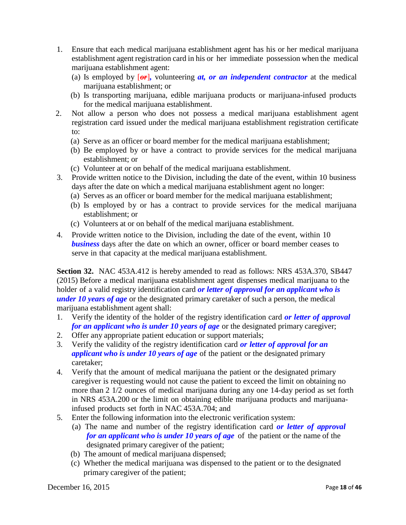- 1. Ensure that each medical marijuana establishment agent has his or her medical marijuana establishment agent registration card in his or her immediate possession when the medical marijuana establishment agent:
	- (a) Is employed by  $\left[\theta f\right]$ , volunteering *at, or an independent contractor* at the medical marijuana establishment; or
	- (b) Is transporting marijuana, edible marijuana products or marijuana-infused products for the medical marijuana establishment.
- 2. Not allow a person who does not possess a medical marijuana establishment agent registration card issued under the medical marijuana establishment registration certificate to:
	- (a) Serve as an officer or board member for the medical marijuana establishment;
	- (b) Be employed by or have a contract to provide services for the medical marijuana establishment; or
	- (c) Volunteer at or on behalf of the medical marijuana establishment.
- 3. Provide written notice to the Division, including the date of the event, within 10 business days after the date on which a medical marijuana establishment agent no longer:
	- (a) Serves as an officer or board member for the medical marijuana establishment;
	- (b) Is employed by or has a contract to provide services for the medical marijuana establishment; or
	- (c) Volunteers at or on behalf of the medical marijuana establishment.
- 4. Provide written notice to the Division, including the date of the event, within 10 **business** days after the date on which an owner, officer or board member ceases to serve in that capacity at the medical marijuana establishment.

**Section 32.** NAC 453A.412 is hereby amended to read as follows: NRS 453A.370, SB447 (2015) Before a medical marijuana establishment agent dispenses medical marijuana to the holder of a valid registry identification card *or letter of approval for an applicant who is under 10 years of age* or the designated primary caretaker of such a person, the medical marijuana establishment agent shall:

- 1. Verify the identity of the holder of the registry identification card *or letter of approval for an applicant who is under 10 years of age* or the designated primary caregiver;
- 2. Offer any appropriate patient education or support materials;
- 3. Verify the validity of the registry identification card *or letter of approval for an applicant who is under 10 years of age* of the patient or the designated primary caretaker;
- 4. Verify that the amount of medical marijuana the patient or the designated primary caregiver is requesting would not cause the patient to exceed the limit on obtaining no more than 2 1/2 ounces of medical marijuana during any one 14-day period as set forth in NRS 453A.200 or the limit on obtaining edible marijuana products and marijuanainfused products set forth in NAC 453A.704; and
- 5. Enter the following information into the electronic verification system:
	- (a) The name and number of the registry identification card *or letter of approval for an applicant who is under 10 years of age* of the patient or the name of the designated primary caregiver of the patient;
	- (b) The amount of medical marijuana dispensed;
	- (c) Whether the medical marijuana was dispensed to the patient or to the designated primary caregiver of the patient;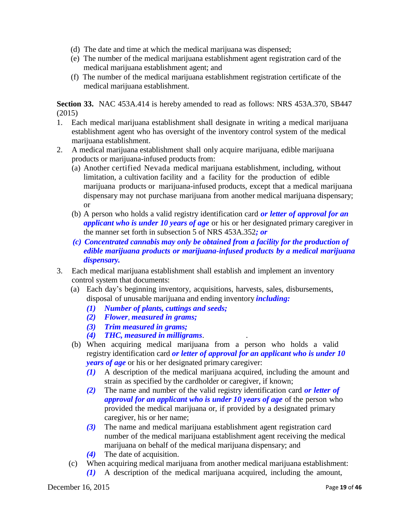- (d) The date and time at which the medical marijuana was dispensed;
- (e) The number of the medical marijuana establishment agent registration card of the medical marijuana establishment agent; and
- (f) The number of the medical marijuana establishment registration certificate of the medical marijuana establishment.

**Section 33.** NAC 453A.414 is hereby amended to read as follows: NRS 453A.370, SB447 (2015)

- 1. Each medical marijuana establishment shall designate in writing a medical marijuana establishment agent who has oversight of the inventory control system of the medical marijuana establishment.
- 2. A medical marijuana establishment shall only acquire marijuana, edible marijuana products or marijuana-infused products from:
	- (a) Another certified Nevada medical marijuana establishment, including, without limitation, a cultivation facility and a facility for the production of edible marijuana products or marijuana-infused products, except that a medical marijuana dispensary may not purchase marijuana from another medical marijuana dispensary; or
	- (b) A person who holds a valid registry identification card *or letter of approval for an applicant who is under 10 years of age* or his or her designated primary caregiver in the manner set forth in subsection 5 of NRS 453A.352*; or*
	- *(c) Concentrated cannabis may only be obtained from a facility for the production of edible marijuana products or marijuana-infused products by a medical marijuana dispensary.*
- 3. Each medical marijuana establishment shall establish and implement an inventory control system that documents:
	- (a) Each day's beginning inventory, acquisitions, harvests, sales, disbursements, disposal of unusable marijuana and ending inventory *including:*
		- *(1) Number of plants, cuttings and seeds;*
		- *(2) Flower*, *measured in grams;*
		- *(3) Trim measured in grams;*
		- *(4) THC, measured in milligrams*. .
	- (b) When acquiring medical marijuana from a person who holds a valid registry identification card *or letter of approval for an applicant who is under 10 years of age* or his or her designated primary caregiver:
		- *(1)* A description of the medical marijuana acquired, including the amount and strain as specified by the cardholder or caregiver, if known;
		- *(2)* The name and number of the valid registry identification card *or letter of approval for an applicant who is under 10 years of age* of the person who provided the medical marijuana or, if provided by a designated primary caregiver, his or her name;
		- *(3)* The name and medical marijuana establishment agent registration card number of the medical marijuana establishment agent receiving the medical marijuana on behalf of the medical marijuana dispensary; and
		- *(4)* The date of acquisition.
	- (c) When acquiring medical marijuana from another medical marijuana establishment:
		- *(1)* A description of the medical marijuana acquired, including the amount,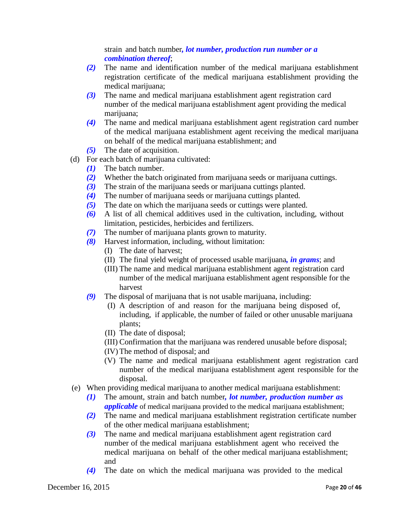strain and batch number*, lot number, production run number or a combination thereof*;

- *(2)* The name and identification number of the medical marijuana establishment registration certificate of the medical marijuana establishment providing the medical marijuana;
- *(3)* The name and medical marijuana establishment agent registration card number of the medical marijuana establishment agent providing the medical marijuana;
- *(4)* The name and medical marijuana establishment agent registration card number of the medical marijuana establishment agent receiving the medical marijuana on behalf of the medical marijuana establishment; and
- *(5)* The date of acquisition.
- (d) For each batch of marijuana cultivated:
	- *(1)* The batch number.
	- *(2)* Whether the batch originated from marijuana seeds or marijuana cuttings.
	- *(3)* The strain of the marijuana seeds or marijuana cuttings planted.
	- *(4)* The number of marijuana seeds or marijuana cuttings planted.
	- *(5)* The date on which the marijuana seeds or cuttings were planted.
	- *(6)* A list of all chemical additives used in the cultivation, including, without limitation, pesticides, herbicides and fertilizers.
	- *(7)* The number of marijuana plants grown to maturity.
	- *(8)* Harvest information, including, without limitation:
		- (I) The date of harvest;
		- (II) The final yield weight of processed usable marijuana*, in grams*; and
		- (III) The name and medical marijuana establishment agent registration card number of the medical marijuana establishment agent responsible for the harvest
	- *(9)* The disposal of marijuana that is not usable marijuana, including:
		- (I) A description of and reason for the marijuana being disposed of, including, if applicable, the number of failed or other unusable marijuana plants;
		- (II) The date of disposal;
		- (III) Confirmation that the marijuana was rendered unusable before disposal;
		- (IV) The method of disposal; and
		- (V) The name and medical marijuana establishment agent registration card number of the medical marijuana establishment agent responsible for the disposal.
- (e) When providing medical marijuana to another medical marijuana establishment:
	- *(1)* The amount, strain and batch number*, lot number, production number as applicable* of medical marijuana provided to the medical marijuana establishment;
	- *(2)* The name and medical marijuana establishment registration certificate number of the other medical marijuana establishment;
	- *(3)* The name and medical marijuana establishment agent registration card number of the medical marijuana establishment agent who received the medical marijuana on behalf of the other medical marijuana establishment; and
	- *(4)* The date on which the medical marijuana was provided to the medical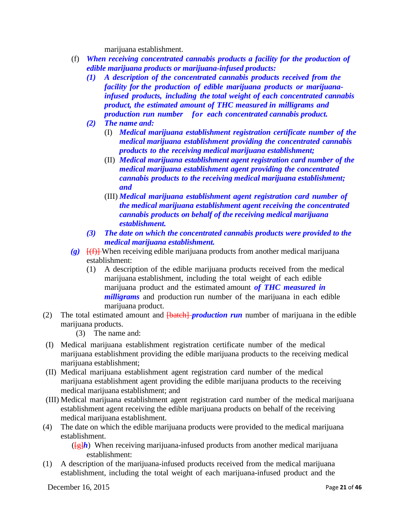marijuana establishment.

- (f) *When receiving concentrated cannabis products a facility for the production of edible marijuana products or marijuana-infused products:*
	- *(1) A description of the concentrated cannabis products received from the facility for the production of edible marijuana products or marijuanainfused products, including the total weight of each concentrated cannabis product, the estimated amount of THC measured in milligrams and production run number for each concentrated cannabis product.*
	- *(2) The name and:*
		- (I) *Medical marijuana establishment registration certificate number of the medical marijuana establishment providing the concentrated cannabis products to the receiving medical marijuana establishment;*
		- (II) *Medical marijuana establishment agent registration card number of the medical marijuana establishment agent providing the concentrated cannabis products to the receiving medical marijuana establishment; and*
		- (III) *Medical marijuana establishment agent registration card number of the medical marijuana establishment agent receiving the concentrated cannabis products on behalf of the receiving medical marijuana establishment.*
	- *(3) The date on which the concentrated cannabis products were provided to the medical marijuana establishment.*
- *(g)* [(f)] When receiving edible marijuana products from another medical marijuana establishment:
	- (1) A description of the edible marijuana products received from the medical marijuana establishment, including the total weight of each edible marijuana product and the estimated amount *of THC measured in milligrams* and production run number of the marijuana in each edible marijuana product.
- (2) The total estimated amount and [batch] *production run* number of marijuana in the edible marijuana products.

(3) The name and:

- (I) Medical marijuana establishment registration certificate number of the medical marijuana establishment providing the edible marijuana products to the receiving medical marijuana establishment;
- (II) Medical marijuana establishment agent registration card number of the medical marijuana establishment agent providing the edible marijuana products to the receiving medical marijuana establishment; and
- (III) Medical marijuana establishment agent registration card number of the medical marijuana establishment agent receiving the edible marijuana products on behalf of the receiving medical marijuana establishment.
- (4) The date on which the edible marijuana products were provided to the medical marijuana establishment.

 $(\frac{f_H}{h})$  When receiving marijuana-infused products from another medical marijuana establishment:

(1) A description of the marijuana-infused products received from the medical marijuana establishment, including the total weight of each marijuana-infused product and the

December 16, 2015 Page **21** of **46**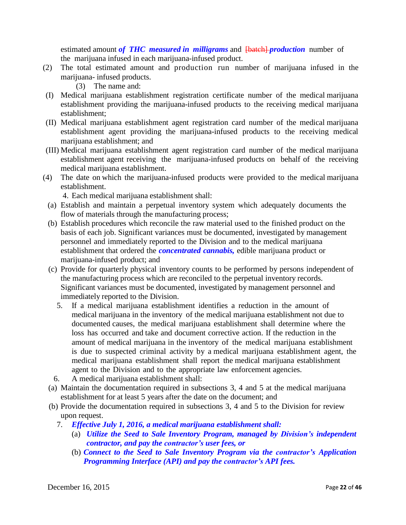estimated amount *of THC measured in milligrams* and  $\frac{1}{10}$  *patch-production* number of the marijuana infused in each marijuana-infused product.

- (2) The total estimated amount and production run number of marijuana infused in the marijuana- infused products.
	- (3) The name and:
- (I) Medical marijuana establishment registration certificate number of the medical marijuana establishment providing the marijuana-infused products to the receiving medical marijuana establishment;
- (II) Medical marijuana establishment agent registration card number of the medical marijuana establishment agent providing the marijuana-infused products to the receiving medical marijuana establishment; and
- (III) Medical marijuana establishment agent registration card number of the medical marijuana establishment agent receiving the marijuana-infused products on behalf of the receiving medical marijuana establishment.
- (4) The date on which the marijuana-infused products were provided to the medical marijuana establishment.

4. Each medical marijuana establishment shall:

- (a) Establish and maintain a perpetual inventory system which adequately documents the flow of materials through the manufacturing process;
- (b) Establish procedures which reconcile the raw material used to the finished product on the basis of each job. Significant variances must be documented, investigated by management personnel and immediately reported to the Division and to the medical marijuana establishment that ordered the *concentrated cannabis,* edible marijuana product or marijuana-infused product: and
- (c) Provide for quarterly physical inventory counts to be performed by persons independent of the manufacturing process which are reconciled to the perpetual inventory records. Significant variances must be documented, investigated by management personnel and immediately reported to the Division.
	- 5. If a medical marijuana establishment identifies a reduction in the amount of medical marijuana in the inventory of the medical marijuana establishment not due to documented causes, the medical marijuana establishment shall determine where the loss has occurred and take and document corrective action. If the reduction in the amount of medical marijuana in the inventory of the medical marijuana establishment is due to suspected criminal activity by a medical marijuana establishment agent, the medical marijuana establishment shall report the medical marijuana establishment agent to the Division and to the appropriate law enforcement agencies.
	- 6. A medical marijuana establishment shall:
- (a) Maintain the documentation required in subsections 3, 4 and 5 at the medical marijuana establishment for at least 5 years after the date on the document; and
- (b) Provide the documentation required in subsections 3, 4 and 5 to the Division for review upon request.
	- 7. *Effective July 1, 2016, a medical marijuana establishment shall:*
		- (a) *Utilize the Seed to Sale Inventory Program, managed by Division's independent contractor, and pay the contractor's user fees, or*
		- (b) *Connect to the Seed to Sale Inventory Program via the contractor's Application Programming Interface (API) and pay the contractor's API fees.*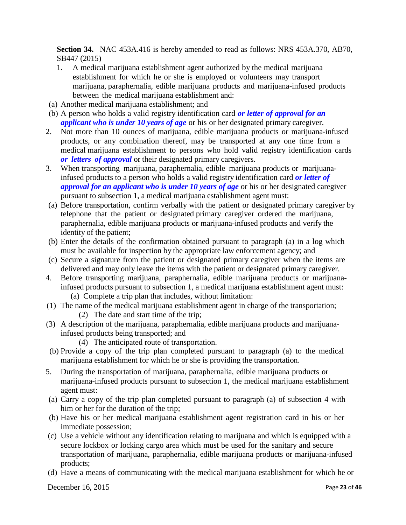**Section 34.** NAC 453A.416 is hereby amended to read as follows: NRS 453A.370, AB70, SB447 (2015)

- 1. A medical marijuana establishment agent authorized by the medical marijuana establishment for which he or she is employed or volunteers may transport marijuana, paraphernalia, edible marijuana products and marijuana-infused products between the medical marijuana establishment and:
- (a) Another medical marijuana establishment; and
- (b) A person who holds a valid registry identification card *or letter of approval for an applicant who is under 10 years of age* or his or her designated primary caregiver.
- 2. Not more than 10 ounces of marijuana, edible marijuana products or marijuana-infused products, or any combination thereof, may be transported at any one time from a medical marijuana establishment to persons who hold valid registry identification cards *or letters of approval* or their designated primary caregivers.
- 3. When transporting marijuana, paraphernalia, edible marijuana products or marijuanainfused products to a person who holds a valid registry identification card *or letter of approval for an applicant who is under 10 years of age* or his or her designated caregiver pursuant to subsection 1, a medical marijuana establishment agent must:
- (a) Before transportation, confirm verbally with the patient or designated primary caregiver by telephone that the patient or designated primary caregiver ordered the marijuana, paraphernalia, edible marijuana products or marijuana-infused products and verify the identity of the patient;
- (b) Enter the details of the confirmation obtained pursuant to paragraph (a) in a log which must be available for inspection by the appropriate law enforcement agency; and
- (c) Secure a signature from the patient or designated primary caregiver when the items are delivered and may only leave the items with the patient or designated primary caregiver.
- 4. Before transporting marijuana, paraphernalia, edible marijuana products or marijuanainfused products pursuant to subsection 1, a medical marijuana establishment agent must: (a) Complete a trip plan that includes, without limitation:
- (1) The name of the medical marijuana establishment agent in charge of the transportation; (2) The date and start time of the trip;
- (3) A description of the marijuana, paraphernalia, edible marijuana products and marijuanainfused products being transported; and
	- (4) The anticipated route of transportation.
- (b) Provide a copy of the trip plan completed pursuant to paragraph (a) to the medical marijuana establishment for which he or she is providing the transportation.
- 5. During the transportation of marijuana, paraphernalia, edible marijuana products or marijuana-infused products pursuant to subsection 1, the medical marijuana establishment agent must:
- (a) Carry a copy of the trip plan completed pursuant to paragraph (a) of subsection 4 with him or her for the duration of the trip;
- (b) Have his or her medical marijuana establishment agent registration card in his or her immediate possession;
- (c) Use a vehicle without any identification relating to marijuana and which is equipped with a secure lockbox or locking cargo area which must be used for the sanitary and secure transportation of marijuana, paraphernalia, edible marijuana products or marijuana-infused products;
- (d) Have a means of communicating with the medical marijuana establishment for which he or

December 16, 2015 Page **23** of **46**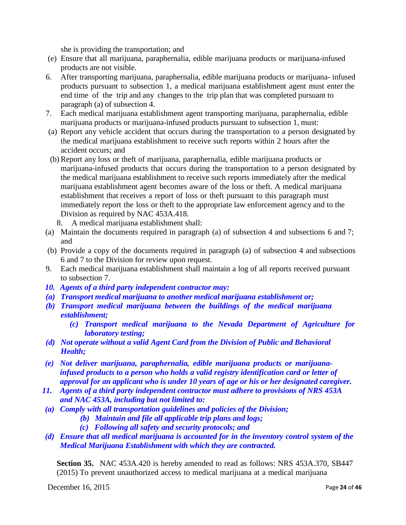she is providing the transportation; and

- (e) Ensure that all marijuana, paraphernalia, edible marijuana products or marijuana-infused products are not visible.
- 6. After transporting marijuana, paraphernalia, edible marijuana products or marijuana- infused products pursuant to subsection 1, a medical marijuana establishment agent must enter the end time of the trip and any changes to the trip plan that was completed pursuant to paragraph (a) of subsection 4.
- 7. Each medical marijuana establishment agent transporting marijuana, paraphernalia, edible marijuana products or marijuana-infused products pursuant to subsection 1, must:
- (a) Report any vehicle accident that occurs during the transportation to a person designated by the medical marijuana establishment to receive such reports within 2 hours after the accident occurs; and
- (b) Report any loss or theft of marijuana, paraphernalia, edible marijuana products or marijuana-infused products that occurs during the transportation to a person designated by the medical marijuana establishment to receive such reports immediately after the medical marijuana establishment agent becomes aware of the loss or theft. A medical marijuana establishment that receives a report of loss or theft pursuant to this paragraph must immediately report the loss or theft to the appropriate law enforcement agency and to the Division as required by NAC 453A.418.
	- 8. A medical marijuana establishment shall:
- (a) Maintain the documents required in paragraph (a) of subsection 4 and subsections 6 and 7; and
- (b) Provide a copy of the documents required in paragraph (a) of subsection 4 and subsections 6 and 7 to the Division for review upon request.
- 9. Each medical marijuana establishment shall maintain a log of all reports received pursuant to subsection 7.
- *10. Agents of a third party independent contractor may:*
- *(a) Transport medical marijuana to another medical marijuana establishment or;*
- *(b) Transport medical marijuana between the buildings of the medical marijuana establishment;*
	- *(c) Transport medical marijuana to the Nevada Department of Agriculture for laboratory testing;*
- *(d) Not operate without a valid Agent Card from the Division of Public and Behavioral Health;*
- *(e) Not deliver marijuana, paraphernalia, edible marijuana products or marijuanainfused products to a person who holds a valid registry identification card or letter of approval for an applicant who is under 10 years of age or his or her designated caregiver.*
- *11. Agents of a third party independent contractor must adhere to provisions of NRS 453A and NAC 453A, including but not limited to:*
- *(a) Comply with all transportation guidelines and policies of the Division;*
	- *(b) Maintain and file all applicable trip plans and logs;*
	- *(c) Following all safety and security protocols; and*
- *(d) Ensure that all medical marijuana is accounted for in the inventory control system of the Medical Marijuana Establishment with which they are contracted.*

**Section 35.** NAC 453A.420 is hereby amended to read as follows: NRS 453A.370, SB447 (2015) To prevent unauthorized access to medical marijuana at a medical marijuana

December 16, 2015 Page **24** of **46**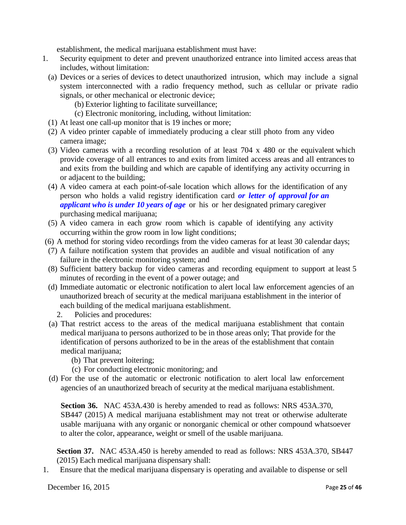establishment, the medical marijuana establishment must have:

- 1. Security equipment to deter and prevent unauthorized entrance into limited access areas that includes, without limitation:
	- (a) Devices or a series of devices to detect unauthorized intrusion, which may include a signal system interconnected with a radio frequency method, such as cellular or private radio signals, or other mechanical or electronic device;
		- (b) Exterior lighting to facilitate surveillance;
		- (c) Electronic monitoring, including, without limitation:
	- (1) At least one call-up monitor that is 19 inches or more;
	- (2) A video printer capable of immediately producing a clear still photo from any video camera image;
	- (3) Video cameras with a recording resolution of at least 704 x 480 or the equivalent which provide coverage of all entrances to and exits from limited access areas and all entrances to and exits from the building and which are capable of identifying any activity occurring in or adjacent to the building;
	- (4) A video camera at each point-of-sale location which allows for the identification of any person who holds a valid registry identification card *or letter of approval for an applicant who is under 10 years of age* or his or her designated primary caregiver purchasing medical marijuana;
	- (5) A video camera in each grow room which is capable of identifying any activity occurring within the grow room in low light conditions;
- (6) A method for storing video recordings from the video cameras for at least 30 calendar days;
- (7) A failure notification system that provides an audible and visual notification of any failure in the electronic monitoring system; and
- (8) Sufficient battery backup for video cameras and recording equipment to support at least 5 minutes of recording in the event of a power outage; and
- (d) Immediate automatic or electronic notification to alert local law enforcement agencies of an unauthorized breach of security at the medical marijuana establishment in the interior of each building of the medical marijuana establishment.
	- 2. Policies and procedures:
- (a) That restrict access to the areas of the medical marijuana establishment that contain medical marijuana to persons authorized to be in those areas only; That provide for the identification of persons authorized to be in the areas of the establishment that contain medical marijuana;
	- (b) That prevent loitering;
	- (c) For conducting electronic monitoring; and
- (d) For the use of the automatic or electronic notification to alert local law enforcement agencies of an unauthorized breach of security at the medical marijuana establishment.

**Section 36.** NAC 453A.430 is hereby amended to read as follows: NRS 453A.370, SB447 (2015) A medical marijuana establishment may not treat or otherwise adulterate usable marijuana with any organic or nonorganic chemical or other compound whatsoever to alter the color, appearance, weight or smell of the usable marijuana.

**Section 37.** NAC 453A.450 is hereby amended to read as follows: NRS 453A.370, SB447 (2015) Each medical marijuana dispensary shall:

1. Ensure that the medical marijuana dispensary is operating and available to dispense or sell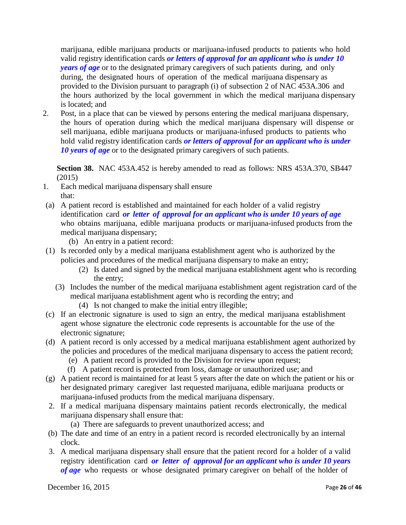marijuana, edible marijuana products or marijuana-infused products to patients who hold valid registry identification cards *or letters of approval for an applicant who is under 10 years of age* or to the designated primary caregivers of such patients during, and only during, the designated hours of operation of the medical marijuana dispensary as provided to the Division pursuant to paragraph (i) of subsection 2 of NAC 453A.306 and the hours authorized by the local government in which the medical marijuana dispensary is located; and

2. Post, in a place that can be viewed by persons entering the medical marijuana dispensary, the hours of operation during which the medical marijuana dispensary will dispense or sell marijuana, edible marijuana products or marijuana-infused products to patients who hold valid registry identification cards *or letters of approval for an applicant who is under 10 years of age* or to the designated primary caregivers of such patients.

**Section 38.** NAC 453A.452 is hereby amended to read as follows: NRS 453A.370, SB447 (2015)

- 1. Each medical marijuana dispensary shall ensure that:
- (a) A patient record is established and maintained for each holder of a valid registry identification card *or letter of approval for an applicant who is under 10 years of age* who obtains marijuana, edible marijuana products or marijuana-infused products from the medical marijuana dispensary;
	- (b) An entry in a patient record:
- (1) Is recorded only by a medical marijuana establishment agent who is authorized by the policies and procedures of the medical marijuana dispensary to make an entry;
	- (2) Is dated and signed by the medical marijuana establishment agent who is recording the entry;
	- (3) Includes the number of the medical marijuana establishment agent registration card of the medical marijuana establishment agent who is recording the entry; and
		- (4) Is not changed to make the initial entry illegible;
- (c) If an electronic signature is used to sign an entry, the medical marijuana establishment agent whose signature the electronic code represents is accountable for the use of the electronic signature;
- (d) A patient record is only accessed by a medical marijuana establishment agent authorized by the policies and procedures of the medical marijuana dispensary to access the patient record;
	- (e) A patient record is provided to the Division for review upon request;
	- (f) A patient record is protected from loss, damage or unauthorized use; and
- (g) A patient record is maintained for at least 5 years after the date on which the patient or his or her designated primary caregiver last requested marijuana, edible marijuana products or marijuana-infused products from the medical marijuana dispensary.
- 2. If a medical marijuana dispensary maintains patient records electronically, the medical marijuana dispensary shall ensure that:
	- (a) There are safeguards to prevent unauthorized access; and
- (b) The date and time of an entry in a patient record is recorded electronically by an internal clock.
- 3. A medical marijuana dispensary shall ensure that the patient record for a holder of a valid registry identification card *or letter of approval for an applicant who is under 10 years of age* who requests or whose designated primary caregiver on behalf of the holder of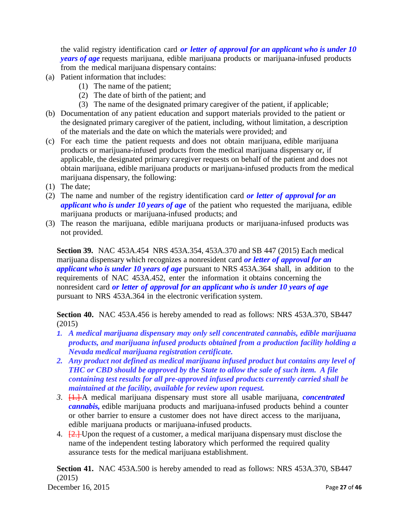the valid registry identification card *or letter of approval for an applicant who is under 10 years of age* requests marijuana, edible marijuana products or marijuana-infused products from the medical marijuana dispensary contains:

- (a) Patient information that includes:
	- (1) The name of the patient;
	- (2) The date of birth of the patient; and
	- (3) The name of the designated primary caregiver of the patient, if applicable;
- (b) Documentation of any patient education and support materials provided to the patient or the designated primary caregiver of the patient, including, without limitation, a description of the materials and the date on which the materials were provided; and
- (c) For each time the patient requests and does not obtain marijuana, edible marijuana products or marijuana-infused products from the medical marijuana dispensary or, if applicable, the designated primary caregiver requests on behalf of the patient and does not obtain marijuana, edible marijuana products or marijuana-infused products from the medical marijuana dispensary, the following:
- (1) The date;
- (2) The name and number of the registry identification card *or letter of approval for an applicant who is under 10 years of age* of the patient who requested the marijuana, edible marijuana products or marijuana-infused products; and
- (3) The reason the marijuana, edible marijuana products or marijuana-infused products was not provided.

**Section 39.** NAC 453A.454 NRS 453A.354, 453A.370 and SB 447 (2015) Each medical marijuana dispensary which recognizes a nonresident card *or letter of approval for an applicant who is under 10 years of age* pursuant to NRS 453A.364 shall, in addition to the requirements of NAC 453A.452, enter the information it obtains concerning the nonresident card *or letter of approval for an applicant who is under 10 years of age* pursuant to NRS 453A.364 in the electronic verification system.

**Section 40.** NAC 453A.456 is hereby amended to read as follows: NRS 453A.370, SB447 (2015)

- *1. A medical marijuana dispensary may only sell concentrated cannabis, edible marijuana products, and marijuana infused products obtained from a production facility holding a Nevada medical marijuana registration certificate.*
- *2. Any product not defined as medical marijuana infused product but contains any level of THC or CBD should be approved by the State to allow the sale of such item. A file containing test results for all pre-approved infused products currently carried shall be maintained at the facility, available for review upon request.*
- *3*. [1.] A medical marijuana dispensary must store all usable marijuana, *concentrated cannabis,* edible marijuana products and marijuana-infused products behind a counter or other barrier to ensure a customer does not have direct access to the marijuana, edible marijuana products or marijuana-infused products.
- 4. **[2.]** Upon the request of a customer, a medical marijuana dispensary must disclose the name of the independent testing laboratory which performed the required quality assurance tests for the medical marijuana establishment.

**Section 41.** NAC 453A.500 is hereby amended to read as follows: NRS 453A.370, SB447 (2015)

December 16, 2015 Page **27** of **46**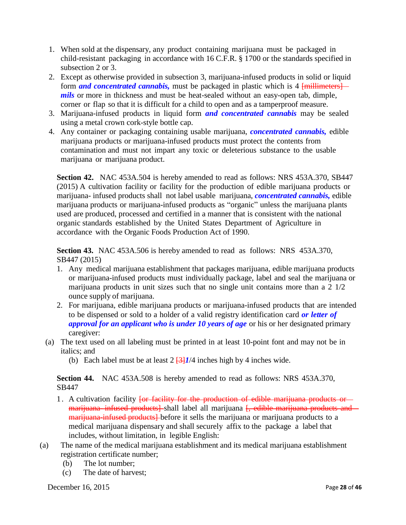- 1. When sold at the dispensary, any product containing marijuana must be packaged in child-resistant packaging in accordance with 16 C.F.R. § 1700 or the standards specified in subsection 2 or 3.
- 2. Except as otherwise provided in subsection 3, marijuana-infused products in solid or liquid form **and concentrated cannabis**, must be packaged in plastic which is 4 [millimeters] *mils* or more in thickness and must be heat-sealed without an easy-open tab, dimple, corner or flap so that it is difficult for a child to open and as a tamperproof measure.
- 3. Marijuana-infused products in liquid form *and concentrated cannabis* may be sealed using a metal crown cork-style bottle cap.
- 4. Any container or packaging containing usable marijuana, *concentrated cannabis,* edible marijuana products or marijuana-infused products must protect the contents from contamination and must not impart any toxic or deleterious substance to the usable marijuana or marijuana product.

**Section 42.** NAC 453A.504 is hereby amended to read as follows: NRS 453A.370, SB447 (2015) A cultivation facility or facility for the production of edible marijuana products or marijuana- infused products shall not label usable marijuana, *concentrated cannabis,* edible marijuana products or marijuana-infused products as "organic" unless the marijuana plants used are produced, processed and certified in a manner that is consistent with the national organic standards established by the United States Department of Agriculture in accordance with the Organic Foods Production Act of 1990.

**Section 43.** NAC 453A.506 is hereby amended to read as follows: NRS 453A.370, SB447 (2015)

- 1. Any medical marijuana establishment that packages marijuana, edible marijuana products or marijuana-infused products must individually package, label and seal the marijuana or marijuana products in unit sizes such that no single unit contains more than a 2 1/2 ounce supply of marijuana.
- 2. For marijuana, edible marijuana products or marijuana-infused products that are intended to be dispensed or sold to a holder of a valid registry identification card *or letter of approval for an applicant who is under 10 years of age* or his or her designated primary caregiver:
- (a) The text used on all labeling must be printed in at least 10-point font and may not be in italics; and
	- (b) Each label must be at least  $2\frac{3}{4}I/4$  inches high by 4 inches wide.

**Section 44.** NAC 453A.508 is hereby amended to read as follows: NRS 453A.370, SB447

- 1. A cultivation facility for facility for the production of edible marijuana products or marijuana infused products] shall label all marijuana [, edible marijuana products and marijuana-infused products] before it sells the marijuana or marijuana products to a medical marijuana dispensary and shall securely affix to the package a label that includes, without limitation, in legible English:
- (a) The name of the medical marijuana establishment and its medical marijuana establishment registration certificate number;
	- (b) The lot number;
	- (c) The date of harvest;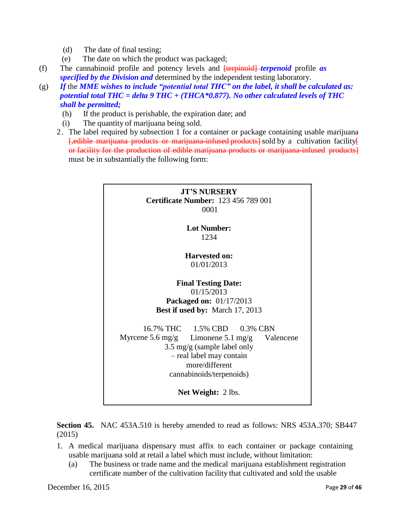- (d) The date of final testing;
- (e) The date on which the product was packaged;
- (f) The cannabinoid profile and potency levels and [terpinoid] *terpenoid* profile *as specified by the Division and* determined by the independent testing laboratory.
- (g) *If* the *MME wishes to include "potential total THC" on the label, it shall be calculated as: potential total THC = delta 9 THC + (THCA\*0.877). No other calculated levels of THC shall be permitted;*
	- (h) If the product is perishable, the expiration date; and
	- (i) The quantity of marijuana being sold.
	- 2. The label required by subsection 1 for a container or package containing usable marijuana **[,edible marijuana products or marijuana infused products**] sold by a cultivation facility or facility for the production of edible marijuana products or marijuana infused products] must be in substantially the following form:



**Section 45.** NAC 453A.510 is hereby amended to read as follows: NRS 453A.370; SB447 (2015)

- 1. A medical marijuana dispensary must affix to each container or package containing usable marijuana sold at retail a label which must include, without limitation:
	- (a) The business or trade name and the medical marijuana establishment registration certificate number of the cultivation facility that cultivated and sold the usable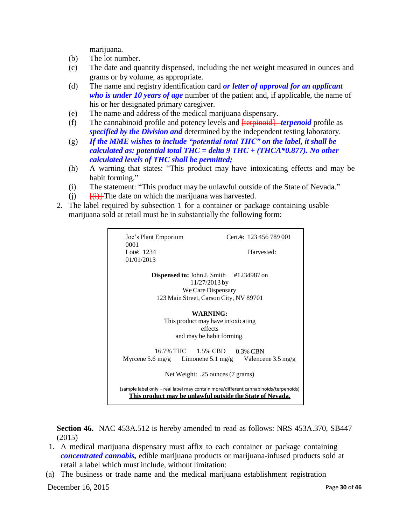marijuana.

- (b) The lot number.
- (c) The date and quantity dispensed, including the net weight measured in ounces and grams or by volume, as appropriate.
- (d) The name and registry identification card *or letter of approval for an applicant who is under 10 years of age* number of the patient and, if applicable, the name of his or her designated primary caregiver.
- (e) The name and address of the medical marijuana dispensary.
- (f) The cannabinoid profile and potency levels and [terpinoid] *terpenoid* profile as *specified by the Division and* determined by the independent testing laboratory.
- (g) *If the MME wishes to include "potential total THC" on the label, it shall be calculated as: potential total THC = delta 9 THC + (THCA\*0.877). No other calculated levels of THC shall be permitted;*
- (h) A warning that states: "This product may have intoxicating effects and may be habit forming."
- (i) The statement: "This product may be unlawful outside of the State of Nevada."
- (i)  $\frac{f(i)}{f(i)}$  The date on which the marijuana was harvested.
- 2. The label required by subsection 1 for a container or package containing usable marijuana sold at retail must be in substantially the following form:

| Joe's Plant Emporium<br>0001<br>Lot#: $1234$<br>01/01/2013                                                                                              | Cert.#: 123 456 789 001<br>Harvested: |  |
|---------------------------------------------------------------------------------------------------------------------------------------------------------|---------------------------------------|--|
| <b>Dispensed to:</b> John J. Smith $\#1234987$ on<br>$11/27/2013$ by<br>We Care Dispensary<br>123 Main Street, Carson City, NV 89701                    |                                       |  |
| <b>WARNING:</b><br>This product may have intoxicating<br>effects<br>and may be habit forming.                                                           |                                       |  |
| 16.7% THC 1.5% CBD 0.3% CBN<br>Myrcene 5.6 mg/g Limonene 5.1 mg/g Valencene 3.5 mg/g<br>Net Weight: .25 ounces (7 grams)                                |                                       |  |
| (sample label only - real label may contain more/different cannabinoids/terpenoids)<br><u>This product may be unlawful outside the State of Nevada.</u> |                                       |  |

**Section 46.** NAC 453A.512 is hereby amended to read as follows: NRS 453A.370, SB447 (2015)

- 1. A medical marijuana dispensary must affix to each container or package containing *concentrated cannabis,* edible marijuana products or marijuana-infused products sold at retail a label which must include, without limitation:
- (a) The business or trade name and the medical marijuana establishment registration

December 16, 2015 Page **30** of **46**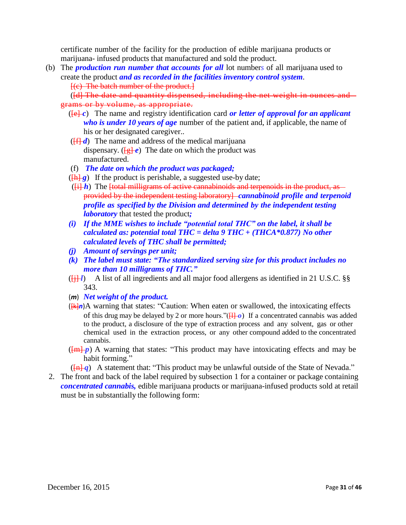certificate number of the facility for the production of edible marijuana products or marijuana- infused products that manufactured and sold the product.

(b) The *production run number that accounts for all* lot number*s* of all marijuana used to create the product *and as recorded in the facilities inventory control system*.

[(c) The batch number of the product.]

([d] The date and quantity dispensed, including the net weight in ounces and grams or by volume, as appropriate.

- ( $[Fe]$  *c*) The name and registry identification card *or letter of approval for an applicant who is under 10 years of age* number of the patient and, if applicable, the name of his or her designated caregiver..
- $(\sqrt{f} \cdot \vec{f})$  The name and address of the medical marijuana dispensary. ( $\left[\frac{g}{g}\right]e$ ) The date on which the product was manufactured.
- (f) *The date on which the product was packaged;*
- $(\frac{\hbar}{g})$  If the product is perishable, a suggested use-by date;
- $(\overline{\text{ii}}\ \textit{h})$  The <del>[total milligrams of active cannabinoids and terpenoids in the product, as -</del> provided by the independent testing laboratory] *cannabinoid profile and terpenoid profile as specified by the Division and determined by the independent testing laboratory* that tested the product*;*
- *(i) If the MME wishes to include "potential total THC" on the label, it shall be calculated as: potential total THC = delta 9 THC + (THCA\*0.877) No other calculated levels of THC shall be permitted;*
- *(j) Amount of servings per unit;*
- *(k) The label must state: "The standardized serving size for this product includes no more than 10 milligrams of THC."*
- $(\overrightarrow{ii} \cdot l)$  A list of all ingredients and all major food allergens as identified in 21 U.S.C. §§ 343.
- (*m*) *Net weight of the product.*
- ([k]*n*)A warning that states: "Caution: When eaten or swallowed, the intoxicating effects of this drug may be delayed by 2 or more hours." $(H<sub>+</sub>\rho)$  If a concentrated cannabis was added to the product, a disclosure of the type of extraction process and any solvent, gas or other chemical used in the extraction process, or any other compound added to the concentrated cannabis.
- $(\overline{m} \cdot p)$  A warning that states: "This product may have intoxicating effects and may be habit forming."
- $(\overline{m} \cdot q)$  A statement that: "This product may be unlawful outside of the State of Nevada."
- 2. The front and back of the label required by subsection 1 for a container or package containing *concentrated cannabis,* edible marijuana products or marijuana-infused products sold at retail must be in substantially the following form: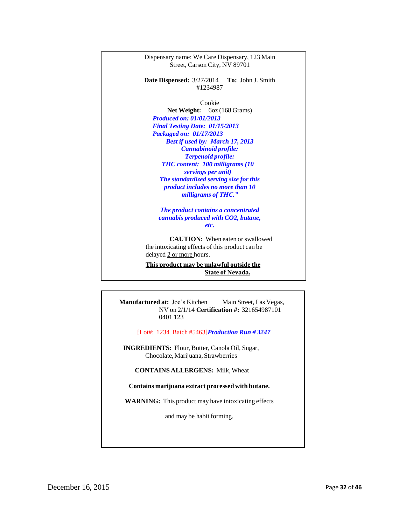

**State of Nevada.**

**Manufactured at:** Joe's Kitchen Main Street, Las Vegas, NV on 2/1/14 **Certification #:** 321654987101 0401 123

[Lot#: 1234 Batch #5463]*Production Run # 3247*

**INGREDIENTS:** Flour, Butter, Canola Oil, Sugar, Chocolate,Marijuana, Strawberries

**CONTAINS ALLERGENS:** Milk, Wheat

**Contains marijuana extract processed with butane.**

**WARNING:** This product may have intoxicating effects

and may be habit forming.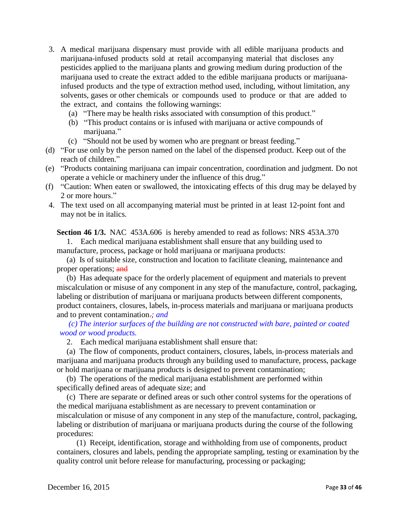- 3. A medical marijuana dispensary must provide with all edible marijuana products and marijuana-infused products sold at retail accompanying material that discloses any pesticides applied to the marijuana plants and growing medium during production of the marijuana used to create the extract added to the edible marijuana products or marijuanainfused products and the type of extraction method used, including, without limitation, any solvents, gases or other chemicals or compounds used to produce or that are added to the extract, and contains the following warnings:
	- (a) "There may be health risks associated with consumption of this product."
	- (b) "This product contains or is infused with marijuana or active compounds of marijuana."
	- (c) "Should not be used by women who are pregnant or breast feeding."
- (d) "For use only by the person named on the label of the dispensed product. Keep out of the reach of children."
- (e) "Products containing marijuana can impair concentration, coordination and judgment. Do not operate a vehicle or machinery under the influence of this drug."
- (f) "Caution: When eaten or swallowed, the intoxicating effects of this drug may be delayed by 2 or more hours."
- 4. The text used on all accompanying material must be printed in at least 12-point font and may not be in italics.

**Section 46 1/3.** NAC 453A.606 is hereby amended to read as follows: NRS 453A.370

1. Each medical marijuana establishment shall ensure that any building used to manufacture, process, package or hold marijuana or marijuana products:

(a) Is of suitable size, construction and location to facilitate cleaning, maintenance and proper operations; and

(b) Has adequate space for the orderly placement of equipment and materials to prevent miscalculation or misuse of any component in any step of the manufacture, control, packaging, labeling or distribution of marijuana or marijuana products between different components, product containers, closures, labels, in-process materials and marijuana or marijuana products and to prevent contamination.*; and*

*(c) The interior surfaces of the building are not constructed with bare, painted or coated wood or wood products.*

2. Each medical marijuana establishment shall ensure that:

(a) The flow of components, product containers, closures, labels, in-process materials and marijuana and marijuana products through any building used to manufacture, process, package or hold marijuana or marijuana products is designed to prevent contamination;

(b) The operations of the medical marijuana establishment are performed within specifically defined areas of adequate size; and

(c) There are separate or defined areas or such other control systems for the operations of the medical marijuana establishment as are necessary to prevent contamination or miscalculation or misuse of any component in any step of the manufacture, control, packaging, labeling or distribution of marijuana or marijuana products during the course of the following procedures:

(1) Receipt, identification, storage and withholding from use of components, product containers, closures and labels, pending the appropriate sampling, testing or examination by the quality control unit before release for manufacturing, processing or packaging;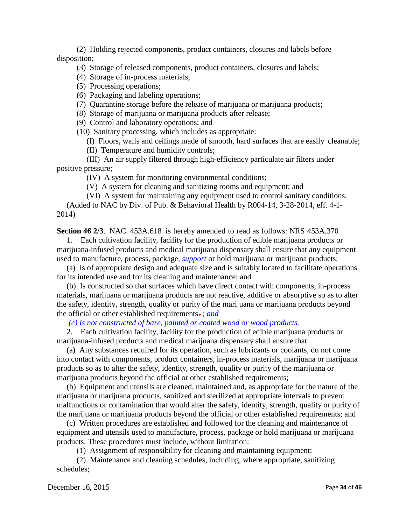(2) Holding rejected components, product containers, closures and labels before disposition;

(3) Storage of released components, product containers, closures and labels;

(4) Storage of in-process materials;

(5) Processing operations;

(6) Packaging and labeling operations;

(7) Quarantine storage before the release of marijuana or marijuana products;

(8) Storage of marijuana or marijuana products after release;

(9) Control and laboratory operations; and

(10) Sanitary processing, which includes as appropriate:

(I) Floors, walls and ceilings made of smooth, hard surfaces that are easily cleanable;

(II) Temperature and humidity controls;

(III) An air supply filtered through high-efficiency particulate air filters under positive pressure;

(IV) A system for monitoring environmental conditions;

(V) A system for cleaning and sanitizing rooms and equipment; and

(VI) A system for maintaining any equipment used to control sanitary conditions.

(Added to NAC by Div. of Pub. & Behavioral Health by R004-14, 3-28-2014, eff. 4-1- 2014)

**Section 46 2/3**. NAC 453A.618 is hereby amended to read as follows: NRS 453A.370

1. Each cultivation facility, facility for the production of edible marijuana products or marijuana-infused products and medical marijuana dispensary shall ensure that any equipment used to manufacture, process, package*, support* or hold marijuana or marijuana products:

(a) Is of appropriate design and adequate size and is suitably located to facilitate operations for its intended use and for its cleaning and maintenance; and

(b) Is constructed so that surfaces which have direct contact with components, in-process materials, marijuana or marijuana products are not reactive, additive or absorptive so as to alter the safety, identity, strength, quality or purity of the marijuana or marijuana products beyond the official or other established requirements. *; and*

*(c) Is not constructed of bare, painted or coated wood or wood products.*

2. Each cultivation facility, facility for the production of edible marijuana products or marijuana-infused products and medical marijuana dispensary shall ensure that:

(a) Any substances required for its operation, such as lubricants or coolants, do not come into contact with components, product containers, in-process materials, marijuana or marijuana products so as to alter the safety, identity, strength, quality or purity of the marijuana or marijuana products beyond the official or other established requirements;

(b) Equipment and utensils are cleaned, maintained and, as appropriate for the nature of the marijuana or marijuana products, sanitized and sterilized at appropriate intervals to prevent malfunctions or contamination that would alter the safety, identity, strength, quality or purity of the marijuana or marijuana products beyond the official or other established requirements; and

(c) Written procedures are established and followed for the cleaning and maintenance of equipment and utensils used to manufacture, process, package or hold marijuana or marijuana products. These procedures must include, without limitation:

(1) Assignment of responsibility for cleaning and maintaining equipment;

(2) Maintenance and cleaning schedules, including, where appropriate, sanitizing schedules;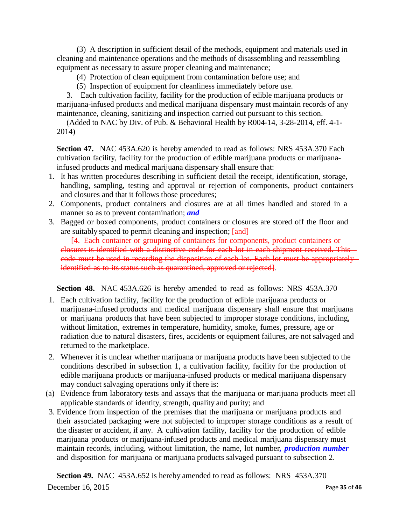(3) A description in sufficient detail of the methods, equipment and materials used in cleaning and maintenance operations and the methods of disassembling and reassembling equipment as necessary to assure proper cleaning and maintenance;

- (4) Protection of clean equipment from contamination before use; and
- (5) Inspection of equipment for cleanliness immediately before use.

3. Each cultivation facility, facility for the production of edible marijuana products or marijuana-infused products and medical marijuana dispensary must maintain records of any maintenance, cleaning, sanitizing and inspection carried out pursuant to this section.

(Added to NAC by Div. of Pub. & Behavioral Health by R004-14, 3-28-2014, eff. 4-1- 2014)

**Section 47.** NAC 453A.620 is hereby amended to read as follows: NRS 453A.370 Each cultivation facility, facility for the production of edible marijuana products or marijuanainfused products and medical marijuana dispensary shall ensure that:

- 1. It has written procedures describing in sufficient detail the receipt, identification, storage, handling, sampling, testing and approval or rejection of components, product containers and closures and that it follows those procedures;
- 2. Components, product containers and closures are at all times handled and stored in a manner so as to prevent contamination; *and*
- 3. Bagged or boxed components, product containers or closures are stored off the floor and are suitably spaced to permit cleaning and inspection;  $\overline{\{and\}}$ - [4. Each container or grouping of containers for components, product containers or closures is identified with a distinctive code for each lot in each shipment received. This code must be used in recording the disposition of each lot. Each lot must be appropriately identified as to its status such as quarantined, approved or rejected].

**Section 48.** NAC 453A.626 is hereby amended to read as follows: NRS 453A.370

- 1. Each cultivation facility, facility for the production of edible marijuana products or marijuana-infused products and medical marijuana dispensary shall ensure that marijuana or marijuana products that have been subjected to improper storage conditions, including, without limitation, extremes in temperature, humidity, smoke, fumes, pressure, age or radiation due to natural disasters, fires, accidents or equipment failures, are not salvaged and returned to the marketplace.
- 2. Whenever it is unclear whether marijuana or marijuana products have been subjected to the conditions described in subsection 1, a cultivation facility, facility for the production of edible marijuana products or marijuana-infused products or medical marijuana dispensary may conduct salvaging operations only if there is:
- (a) Evidence from laboratory tests and assays that the marijuana or marijuana products meet all applicable standards of identity, strength, quality and purity; and
- 3. Evidence from inspection of the premises that the marijuana or marijuana products and their associated packaging were not subjected to improper storage conditions as a result of the disaster or accident, if any. A cultivation facility, facility for the production of edible marijuana products or marijuana-infused products and medical marijuana dispensary must maintain records, including, without limitation, the name, lot number*, production number* and disposition for marijuana or marijuana products salvaged pursuant to subsection 2.

December 16, 2015 Page **35** of **46 Section 49.** NAC 453A.652 is hereby amended to read as follows: NRS 453A.370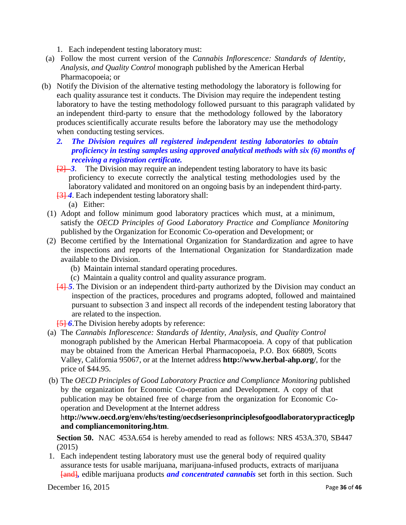1. Each independent testing laboratory must:

- (a) Follow the most current version of the *Cannabis Inflorescence: Standards of Identity, Analysis, and Quality Control* monograph published by the American Herbal Pharmacopoeia; or
- (b) Notify the Division of the alternative testing methodology the laboratory is following for each quality assurance test it conducts. The Division may require the independent testing laboratory to have the testing methodology followed pursuant to this paragraph validated by an independent third-party to ensure that the methodology followed by the laboratory produces scientifically accurate results before the laboratory may use the methodology when conducting testing services.
	- *2. The Division requires all registered independent testing laboratories to obtain proficiency in testing samples using approved analytical methods with six (6) months of receiving a registration certificate.*
	- [2] 3. The Division may require an independent testing laboratory to have its basic proficiency to execute correctly the analytical testing methodologies used by the laboratory validated and monitored on an ongoing basis by an independent third-party.
	- **[3] 4.** Each independent testing laboratory shall:
		- (a) Either:
	- (1) Adopt and follow minimum good laboratory practices which must, at a minimum, satisfy the *OECD Principles of Good Laboratory Practice and Compliance Monitoring* published by the Organization for Economic Co-operation and Development; or
- (2) Become certified by the International Organization for Standardization and agree to have the inspections and reports of the International Organization for Standardization made available to the Division.
	- (b) Maintain internal standard operating procedures.
	- (c) Maintain a quality control and quality assurance program.
	- [4] *5*. The Division or an independent third-party authorized by the Division may conduct an inspection of the practices, procedures and programs adopted, followed and maintained pursuant to subsection 3 and inspect all records of the independent testing laboratory that are related to the inspection.
	- **<del>[5]</del>-6**. The Division hereby adopts by reference:
- (a) The *Cannabis Inflorescence: Standards of Identity, Analysis, and Quality Control* monograph published by the American Herbal Pharmacopoeia. A copy of that publication may be obtained from the American Herbal Pharmacopoeia, P.O. Box 66809, Scotts Valley, California 95067, or at the Internet address **<http://www.herbal-ahp.org/>**, for the price of \$44.95.
- (b) The *OECD Principles of Good Laboratory Practice and Compliance Monitoring* published by the organization for Economic Co-operation and Development. A copy of that publication may be obtained free of charge from the organization for Economic Cooperation and Development at the Internet address

## h**[ttp://www.oecd.org/env/ehs/testing/oecdseriesonprinciplesofgoodlaboratorypracticeglp](http://www.oecd.org/env/ehs/testing/oecdseriesonprinciplesofgoodlaboratorypracticeglpand) [and](http://www.oecd.org/env/ehs/testing/oecdseriesonprinciplesofgoodlaboratorypracticeglpand) compliancemonitoring.htm**.

**Section 50.** NAC 453A.654 is hereby amended to read as follows: NRS 453A.370, SB447 (2015)

1. Each independent testing laboratory must use the general body of required quality assurance tests for usable marijuana, marijuana-infused products, extracts of marijuana [and]*,* edible marijuana products *and concentrated cannabis* set forth in this section. Such

December 16, 2015 Page **36** of **46**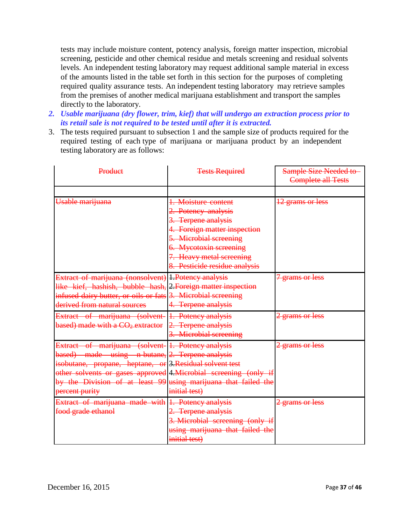tests may include moisture content, potency analysis, foreign matter inspection, microbial screening, pesticide and other chemical residue and metals screening and residual solvents levels. An independent testing laboratory may request additional sample material in excess of the amounts listed in the table set forth in this section for the purposes of completing required quality assurance tests. An independent testing laboratory may retrieve samples from the premises of another medical marijuana establishment and transport the samples directly to the laboratory.

- *2. Usable marijuana (dry flower, trim, kief) that will undergo an extraction process prior to its retail sale is not required to be tested until after it is extracted.*
- 3. The tests required pursuant to subsection 1 and the sample size of products required for the required testing of each type of marijuana or marijuana product by an independent testing laboratory are as follows:

| Product                                                                                                                                                                                                                                                                                                                  | <b>Tests Required</b>                                                                                                                                                                                              | Sample Size Needed to<br><b>Complete all Tests</b> |
|--------------------------------------------------------------------------------------------------------------------------------------------------------------------------------------------------------------------------------------------------------------------------------------------------------------------------|--------------------------------------------------------------------------------------------------------------------------------------------------------------------------------------------------------------------|----------------------------------------------------|
|                                                                                                                                                                                                                                                                                                                          |                                                                                                                                                                                                                    |                                                    |
| Usable marijuana                                                                                                                                                                                                                                                                                                         | 1. Moisture content<br>2. Potency analysis<br>3. Terpene analysis<br>4. Foreign matter inspection<br>5. Microbial screening<br>6. Mycotoxin screening<br>7. Heavy metal screening<br>8. Pesticide residue analysis | 12 grams or less                                   |
| Extract of marijuana (nonsolvent) 1. Potency analysis<br>like kief, hashish, bubble hash, 2. Foreign matter inspection<br>infused dairy butter, or oils or fats 3. Microbial screening<br>derived from natural sources                                                                                                   | 4. Terpene analysis                                                                                                                                                                                                | grams or less                                      |
| Extract of marijuana (solvent-<br>based) made with a CO <sub>2</sub> extractor                                                                                                                                                                                                                                           | 1. Potency analysis<br>2. Terpene analysis<br>3. Microbial screening                                                                                                                                               | grams or less                                      |
| Extract of marijuana (solvent-1. Potency analysis<br>based) made using n-butane, 2. Terpene analysis<br>isobutane, propane, heptane, or 3. Residual solvent test<br>other solvents or gases approved 4. Microbial screening (only if<br>by the Division of at least 99 using marijuana that failed the<br>percent purity | initial test)                                                                                                                                                                                                      | grams or less                                      |
| Extract of marijuana made with 1. Potency analysis<br>food grade ethanol                                                                                                                                                                                                                                                 | 2. Terpene analysis<br>3. Microbial screening (only if<br>using marijuana that failed the<br>initial test)                                                                                                         | 2 grams or less                                    |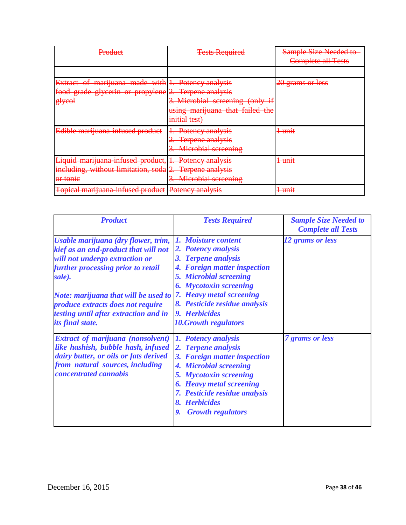| <del>Product</del>                                                                                                              | <b>Tests Required</b>                                                     | <b>Sample Size Needed to</b><br><b>Complete all Tests</b> |
|---------------------------------------------------------------------------------------------------------------------------------|---------------------------------------------------------------------------|-----------------------------------------------------------|
|                                                                                                                                 |                                                                           |                                                           |
| Extract of marijuana made with 1. Potency analysis<br>food grade glycerin or propylene 2. Terpene analysis<br><del>glycol</del> | 3. Microbial screening (only if<br>using marijuana that failed the        | 20 grams or less                                          |
|                                                                                                                                 | initial test)                                                             |                                                           |
| Edible marijuana-infused product                                                                                                | Potency analysis<br><b>Terpene analysis</b><br><b>Microbial screening</b> | <del>l unıt</del>                                         |
| Liquid marijuana infused product, 1. Potency analysis<br>including, without limitation, soda 2.<br><del>or tome</del>           | -Terpene analysis<br>3. Microbial screening                               | <del>1 unit</del>                                         |
| Topical marijuana infused product                                                                                               | Potency analysis<br><del>I otchey and yold</del>                          | <del>l unit</del>                                         |

| <b>Product</b>                                                                                                                                                                                                                                                                                                                                  | <b>Tests Required</b>                                                                                                                                                                                                                                 | <b>Sample Size Needed to</b><br><b>Complete all Tests</b> |
|-------------------------------------------------------------------------------------------------------------------------------------------------------------------------------------------------------------------------------------------------------------------------------------------------------------------------------------------------|-------------------------------------------------------------------------------------------------------------------------------------------------------------------------------------------------------------------------------------------------------|-----------------------------------------------------------|
| Usable marijuana (dry flower, trim,<br>kief as an end-product that will not<br>will not undergo extraction or<br>further processing prior to retail<br>sale).<br>Note: marijuana that will be used to [7. Heavy metal screening<br><i>produce extracts does not require</i><br>testing until after extraction and in<br><i>its final state.</i> | 1. Moisture content<br>2. Potency analysis<br>3. Terpene analysis<br>4. Foreign matter inspection<br><b>5. Microbial screening</b><br><b>6. Mycotoxin screening</b><br>8. Pesticide residue analysis<br>9. Herbicides<br><b>10. Growth regulators</b> | 12 grams or less                                          |
| <b>Extract of marijuana (nonsolvent)</b><br>like hashish, bubble hash, infused<br>dairy butter, or oils or fats derived<br>from natural sources, including<br><i>concentrated cannabis</i>                                                                                                                                                      | 1. Potency analysis<br>2. Terpene analysis<br>3. Foreign matter inspection<br>4. Microbial screening<br>5. Mycotoxin screening<br><b>6. Heavy metal screening</b><br>7. Pesticide residue analysis<br>8. Herbicides<br><b>9.</b> Growth regulators    | <b>7</b> grams or less                                    |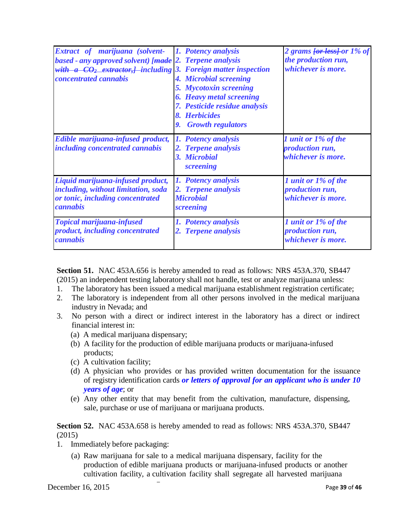| <b>Extract of marijuana (solvent- 1. Potency analysis</b><br>based - any approved solvent) [made 2. Terpene analysis<br>with $a$ $CO_2$ extractor, including 3. Foreign matter inspection<br><i>concentrated cannabis</i> | 4. Microbial screening<br><b>5. Mycotoxin screening</b><br><b>6. Heavy metal screening</b><br>7. Pesticide residue analysis<br>8. Herbicides<br><b>Growth regulators</b><br>9. | 2 grams for less for 1% of<br>the production run,<br>whichever is more. |
|---------------------------------------------------------------------------------------------------------------------------------------------------------------------------------------------------------------------------|--------------------------------------------------------------------------------------------------------------------------------------------------------------------------------|-------------------------------------------------------------------------|
| Edible marijuana-infused product,<br><i>including concentrated cannabis</i>                                                                                                                                               | <b>Potency analysis</b><br>1.<br>2. Terpene analysis<br>3. Microbial<br>screening                                                                                              | 1 unit or 1% of the<br><i>production run,</i><br>whichever is more.     |
| Liquid marijuana-infused product,<br>including, without limitation, soda<br>or tonic, including concentrated<br>cannabis                                                                                                  | 1. Potency analysis<br>2. Terpene analysis<br><b>Microbial</b><br>screening                                                                                                    | 1 unit or 1% of the<br>production run,<br>whichever is more.            |
| <b>Topical marijuana-infused</b><br><i>product, including concentrated</i><br>cannabis                                                                                                                                    | 1. Potency analysis<br>2. Terpene analysis                                                                                                                                     | 1 unit or 1% of the<br><i>production run,</i><br>whichever is more.     |

**Section 51.** NAC 453A.656 is hereby amended to read as follows: NRS 453A.370, SB447 (2015) an independent testing laboratory shall not handle, test or analyze marijuana unless:

- 1. The laboratory has been issued a medical marijuana establishment registration certificate;
- 2. The laboratory is independent from all other persons involved in the medical marijuana industry in Nevada; and
- 3. No person with a direct or indirect interest in the laboratory has a direct or indirect financial interest in:
	- (a) A medical marijuana dispensary;
	- (b) A facility for the production of edible marijuana products or marijuana-infused products;
	- (c) A cultivation facility;
	- (d) A physician who provides or has provided written documentation for the issuance of registry identification cards *or letters of approval for an applicant who is under 10 years of age*; or
	- (e) Any other entity that may benefit from the cultivation, manufacture, dispensing, sale, purchase or use of marijuana or marijuana products.

## **Section 52.** NAC 453A.658 is hereby amended to read as follows: NRS 453A.370, SB447 (2015)

- 1. Immediately before packaging:
	- (a) Raw marijuana for sale to a medical marijuana dispensary, facility for the production of edible marijuana products or marijuana-infused products or another cultivation facility, a cultivation facility shall segregate all harvested marijuana

December 16, 2015 Page **39** of **46**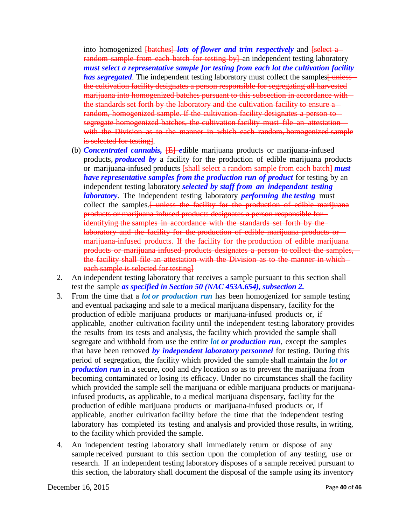into homogenized **[batches]** *lots of flower and trim respectively* and **[select a** random sample from each batch for testing by an independent testing laboratory *must select a representative sample for testing from each lot the cultivation facility has segregated*. The independent testing laboratory must collect the samples funless the cultivation facility designates a person responsible for segregating all harvested marijuana into homogenized batches pursuant to this subsection in accordance with the standards set forth by the laboratory and the cultivation facility to ensure a random, homogenized sample. If the cultivation facility designates a person to segregate homogenized batches, the cultivation facility must file an attestation with the Division as to the manner in which each random, homogenized sample is selected for testing.

- (b) *Concentrated cannabis,* [E] *e*dible marijuana products or marijuana-infused products, *produced by* a facility for the production of edible marijuana products or marijuana-infused products [shall select a random sample from each batch] *must have representative samples from the production run of product* for testing by an independent testing laboratory *selected by staff from an independent testing laboratory*. The independent testing laboratory *performing the testing* must collect the samples.<sup>[ unless the facility for the production of edible marijuana</sup> products or marijuana-infused products designates a person responsible for identifying the samples in accordance with the standards set forth by the laboratory and the facility for the production of edible marijuana products or marijuana-infused products. If the facility for the production of edible marijuanaproducts or marijuana-infused products designates a person to collect the samples, the facility shall file an attestation with the Division as to the manner in which each sample is selected for testing]
- 2. An independent testing laboratory that receives a sample pursuant to this section shall test the sample *as specified in Section 50 (NAC 453A.654), subsection 2.*
- 3. From the time that a *lot or production run* has been homogenized for sample testing and eventual packaging and sale to a medical marijuana dispensary, facility for the production of edible marijuana products or marijuana-infused products or, if applicable, another cultivation facility until the independent testing laboratory provides the results from its tests and analysis, the facility which provided the sample shall segregate and withhold from use the entire *lot or production run*, except the samples that have been removed *by independent laboratory personnel* for testing. During this period of segregation, the facility which provided the sample shall maintain the *lot or production run* in a secure, cool and dry location so as to prevent the marijuana from becoming contaminated or losing its efficacy. Under no circumstances shall the facility which provided the sample sell the marijuana or edible marijuana products or marijuanainfused products, as applicable, to a medical marijuana dispensary, facility for the production of edible marijuana products or marijuana-infused products or, if applicable, another cultivation facility before the time that the independent testing laboratory has completed its testing and analysis and provided those results, in writing, to the facility which provided the sample.
- 4. An independent testing laboratory shall immediately return or dispose of any sample received pursuant to this section upon the completion of any testing, use or research. If an independent testing laboratory disposes of a sample received pursuant to this section, the laboratory shall document the disposal of the sample using its inventory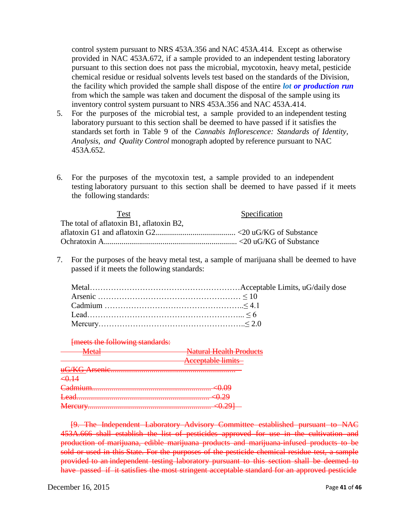control system pursuant to NRS 453A.356 and NAC 453A.414. Except as otherwise provided in NAC 453A.672, if a sample provided to an independent testing laboratory pursuant to this section does not pass the microbial, mycotoxin, heavy metal, pesticide chemical residue or residual solvents levels test based on the standards of the Division, the facility which provided the sample shall dispose of the entire *lot or production run* from which the sample was taken and document the disposal of the sample using its inventory control system pursuant to NRS 453A.356 and NAC 453A.414.

- 5. For the purposes of the microbial test, a sample provided to an independent testing laboratory pursuant to this section shall be deemed to have passed if it satisfies the standards set forth in Table 9 of the *Cannabis Inflorescence: Standards of Identity, Analysis, and Quality Control* monograph adopted by reference pursuant to NAC 453A.652.
- 6. For the purposes of the mycotoxin test, a sample provided to an independent testing laboratory pursuant to this section shall be deemed to have passed if it meets the following standards:

| Specification |
|---------------|
|               |
|               |
|               |
|               |

7. For the purposes of the heavy metal test, a sample of marijuana shall be deemed to have passed if it meets the following standards:

#### [meets the following standards:

| Mafol<br>www | <b>Natural Health Products</b> |
|--------------|--------------------------------|
|              | <b>Acceptable limits</b>       |
|              |                                |
| <0.14        |                                |
|              |                                |
|              |                                |
|              |                                |

[9. The Independent Laboratory Advisory Committee established pursuant to NAC 453A.666 shall establish the list of pesticides approved for use in the cultivation and production of marijuana, edible marijuana products and marijuana-infused products to be sold or used in this State. For the purposes of the pesticide chemical residue test, a sample provided to an independent testing laboratory pursuant to this section shall be deemed to have passed if it satisfies the most stringent acceptable standard for an approved pesticide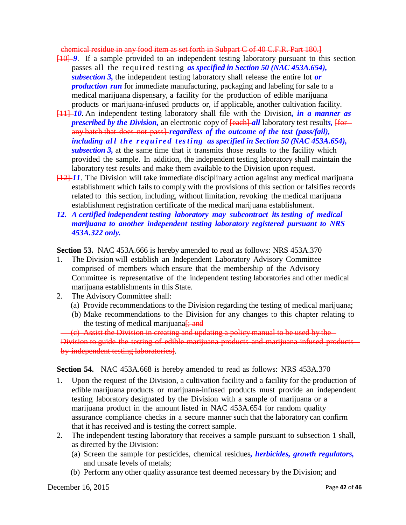chemical residue in any food item as set forth in Subpart C of 40 C.F.R. Part 180.]

- [10] *9*. If a sample provided to an independent testing laboratory pursuant to this section passes all the required testing *as specified in Section 50 (NAC 453A.654), subsection 3,* the independent testing laboratory shall release the entire lot *or production run* for immediate manufacturing, packaging and labeling for sale to a medical marijuana dispensary, a facility for the production of edible marijuana products or marijuana-infused products or, if applicable, another cultivation facility.
- [11] *10*. An independent testing laboratory shall file with the Division*, in a manner as prescribed by the Division*, an electronic copy of  $\frac{[each]}{all}$  laboratory test results,  $\frac{[for]}{all}$ any batch that does not pass] *regardless of the outcome of the test (pass/fail), including al l the r e qu i r e d t esting as specified in Section 50 (NAC 453A.654), subsection 3,* at the same time that it transmits those results to the facility which provided the sample. In addition, the independent testing laboratory shall maintain the laboratory test results and make them available to the Division upon request.
- [12] *11*. The Division will take immediate disciplinary action against any medical marijuana establishment which fails to comply with the provisions of this section or falsifies records related to this section, including, without limitation, revoking the medical marijuana establishment registration certificate of the medical marijuana establishment.
- *12. A certified independent testing laboratory may subcontract its testing of medical marijuana to another independent testing laboratory registered pursuant to NRS 453A.322 only.*

**Section 53.** NAC 453A.666 is hereby amended to read as follows: NRS 453A.370

- 1. The Division will establish an Independent Laboratory Advisory Committee comprised of members which ensure that the membership of the Advisory Committee is representative of the independent testing laboratories and other medical marijuana establishments in this State.
- 2. The Advisory Committee shall:
	- (a) Provide recommendations to the Division regarding the testing of medical marijuana;
	- (b) Make recommendations to the Division for any changes to this chapter relating to the testing of medical marijuana $\frac{1}{2}$ ; and

(c) Assist the Division in creating and updating a policy manual to be used by the Division to guide the testing of edible marijuana products and marijuana infused products by independent testing laboratories].

#### **Section 54.** NAC 453A.668 is hereby amended to read as follows: NRS 453A.370

- 1. Upon the request of the Division, a cultivation facility and a facility for the production of edible marijuana products or marijuana-infused products must provide an independent testing laboratory designated by the Division with a sample of marijuana or a marijuana product in the amount listed in NAC 453A.654 for random quality assurance compliance checks in a secure manner such that the laboratory can confirm that it has received and is testing the correct sample.
- 2. The independent testing laboratory that receives a sample pursuant to subsection 1 shall, as directed by the Division:
	- (a) Screen the sample for pesticides, chemical residues*, herbicides, growth regulators,* and unsafe levels of metals;
	- (b) Perform any other quality assurance test deemed necessary by the Division; and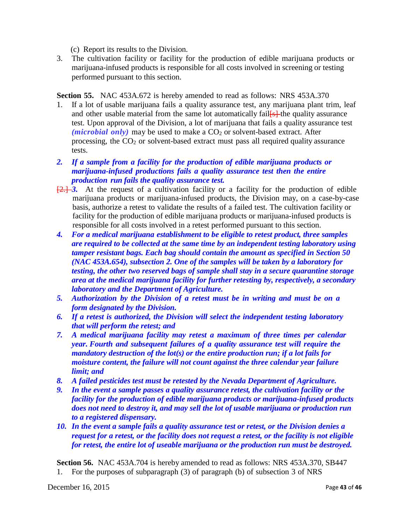(c) Report its results to the Division.

3. The cultivation facility or facility for the production of edible marijuana products or marijuana-infused products is responsible for all costs involved in screening or testing performed pursuant to this section.

**Section 55.** NAC 453A.672 is hereby amended to read as follows: NRS 453A.370

- 1. If a lot of usable marijuana fails a quality assurance test, any marijuana plant trim, leaf and other usable material from the same lot automatically fail  $\frac{1}{s}$  the quality assurance test. Upon approval of the Division, a lot of marijuana that fails a quality assurance test  $(microbial only)$  may be used to make a  $CO<sub>2</sub>$  or solvent-based extract. After processing, the  $CO<sub>2</sub>$  or solvent-based extract must pass all required quality assurance tests.
- *2. If a sample from a facility for the production of edible marijuana products or marijuana-infused productions fails a quality assurance test then the entire production run fails the quality assurance test.*
- [2.] *3.* At the request of a cultivation facility or a facility for the production of edible marijuana products or marijuana-infused products, the Division may, on a case-by-case basis, authorize a retest to validate the results of a failed test. The cultivation facility or facility for the production of edible marijuana products or marijuana-infused products is responsible for all costs involved in a retest performed pursuant to this section.
- *4. For a medical marijuana establishment to be eligible to retest product, three samples are required to be collected at the same time by an independent testing laboratory using tamper resistant bags. Each bag should contain the amount as specified in Section 50 (NAC 453A.654), subsection 2. One of the samples will be taken by a laboratory for testing, the other two reserved bags of sample shall stay in a secure quarantine storage area at the medical marijuana facility for further retesting by, respectively, a secondary laboratory and the Department of Agriculture.*
- *5. Authorization by the Division of a retest must be in writing and must be on a form designated by the Division.*
- *6. If a retest is authorized, the Division will select the independent testing laboratory that will perform the retest; and*
- *7. A medical marijuana facility may retest a maximum of three times per calendar year. Fourth and subsequent failures of a quality assurance test will require the mandatory destruction of the lot(s) or the entire production run; if a lot fails for moisture content, the failure will not count against the three calendar year failure limit; and*
- *8. A failed pesticides test must be retested by the Nevada Department of Agriculture.*
- *9. In the event a sample passes a quality assurance retest, the cultivation facility or the facility for the production of edible marijuana products or marijuana-infused products does not need to destroy it, and may sell the lot of usable marijuana or production run to a registered dispensary.*
- *10. In the event a sample fails a quality assurance test or retest, or the Division denies a request for a retest, or the facility does not request a retest, or the facility is not eligible for retest, the entire lot of useable marijuana or the production run must be destroyed.*

**Section 56.** NAC 453A.704 is hereby amended to read as follows: NRS 453A.370, SB447 1. For the purposes of subparagraph (3) of paragraph (b) of subsection 3 of NRS

December 16, 2015 Page **43** of **46**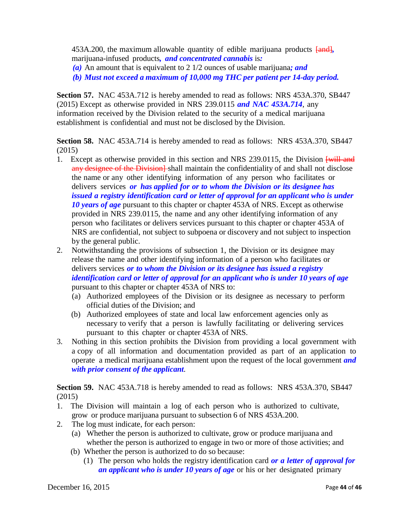453A.200, the maximum allowable quantity of edible marijuana products  $\frac{f_{\text{and}}}{g}$ marijuana-infused products*, and concentrated cannabis* is*:*

*(a)* An amount that is equivalent to 2 1/2 ounces of usable marijuana*; and*

*(b) Must not exceed a maximum of 10,000 mg THC per patient per 14-day period.*

**Section 57.** NAC 453A.712 is hereby amended to read as follows: NRS 453A.370, SB447 (2015) Except as otherwise provided in NRS 239.0115 *and NAC 453A.714*, any information received by the Division related to the security of a medical marijuana establishment is confidential and must not be disclosed by the Division.

**Section 58.** NAC 453A.714 is hereby amended to read as follows: NRS 453A.370, SB447 (2015)

- 1. Except as otherwise provided in this section and NRS 239.0115, the Division  $\frac{24}{11}$  and any designee of the Division- $\vert$  shall maintain the confidentiality of and shall not disclose the name or any other identifying information of any person who facilitates or delivers services *or has applied for or to whom the Division or its designee has issued a registry identification card or letter of approval for an applicant who is under 10 years of age* pursuant to this chapter or chapter 453A of NRS. Except as otherwise provided in NRS [239.0115,](http://leg.state.nv.us/NRS/NRS-239.html%23NRS239Sec0115) the name and any other identifying information of any person who facilitates or delivers services pursuant to this chapter or [chapter](http://leg.state.nv.us/NRS/NRS-453A.html%23NRS453A) 453A of NRS are confidential, not subject to subpoena or discovery and not subject to inspection by the general public.
- 2. Notwithstanding the provisions of subsection 1, the Division or its designee may release the name and other identifying information of a person who facilitates or delivers services *or to whom the Division or its designee has issued a registry identification card or letter of approval for an applicant who is under 10 years of age* pursuant to this chapter or chapter 453A of NRS to:
	- (a) Authorized employees of the Division or its designee as necessary to perform official duties of the Division; and
	- (b) Authorized employees of state and local law enforcement agencies only as necessary to verify that a person is lawfully facilitating or delivering services pursuant to this chapter or chapter 453A of NRS.
- 3. Nothing in this section prohibits the Division from providing a local government with a copy of all information and documentation provided as part of an application to operate a medical marijuana establishment upon the request of the local government *and with prior consent of the applicant.*

**Section 59.** NAC 453A.718 is hereby amended to read as follows: NRS 453A.370, SB447 (2015)

- 1. The Division will maintain a log of each person who is authorized to cultivate, grow or produce marijuana pursuant to subsection 6 of NRS 453A.200.
- 2. The log must indicate, for each person:
	- (a) Whether the person is authorized to cultivate, grow or produce marijuana and whether the person is authorized to engage in two or more of those activities; and
	- (b) Whether the person is authorized to do so because:
		- (1) The person who holds the registry identification card *or a letter of approval for an applicant who is under 10 years of age* or his or her designated primary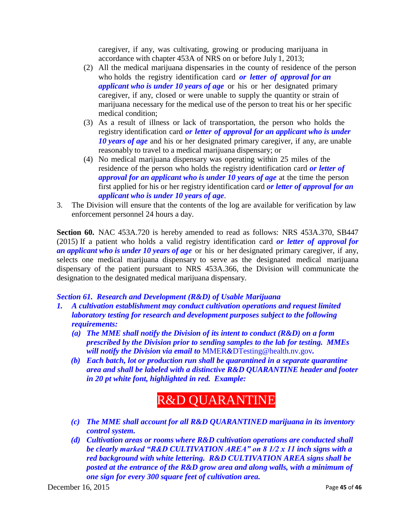caregiver, if any, was cultivating, growing or producing marijuana in accordance with chapter 453A of NRS on or before July 1, 2013;

- (2) All the medical marijuana dispensaries in the county of residence of the person who holds the registry identification card *or letter of approval for an applicant who is under 10 years of age* or his or her designated primary caregiver, if any, closed or were unable to supply the quantity or strain of marijuana necessary for the medical use of the person to treat his or her specific medical condition;
- (3) As a result of illness or lack of transportation, the person who holds the registry identification card *or letter of approval for an applicant who is under 10 years of age* and his or her designated primary caregiver, if any, are unable reasonably to travel to a medical marijuana dispensary; or
- (4) No medical marijuana dispensary was operating within 25 miles of the residence of the person who holds the registry identification card *or letter of approval for an applicant who is under 10 years of age* at the time the person first applied for his or her registry identification card *or letter of approval for an applicant who is under 10 years of age*.
- 3. The Division will ensure that the contents of the log are available for verification by law enforcement personnel 24 hours a day.

**Section 60.** NAC 453A.720 is hereby amended to read as follows: NRS 453A.370, SB447 (2015) If a patient who holds a valid registry identification card *or letter of approval for an applicant who is under 10 years of age* or his or her designated primary caregiver, if any, selects one medical marijuana dispensary to serve as the designated medical marijuana dispensary of the patient pursuant to NRS 453A.366, the Division will communicate the designation to the designated medical marijuana dispensary.

#### *Section 61. Research and Development (R&D) of Usable Marijuana*

- *1. A cultivation establishment may conduct cultivation operations and request limited laboratory testing for research and development purposes subject to the following requirements:*
	- *(a) The MME shall notify the Division of its intent to conduct (R&D) on a form prescribed by the Division prior to sending samples to the lab for testing. MMEs will notify the Division via email to* MMER*&*[DTesting@health.nv.gov](mailto:MMER%26DTesting@health.nv.gov)*.*
	- *(b) Each batch, lot or production run shall be quarantined in a separate quarantine area and shall be labeled with a distinctive R&D QUARANTINE header and footer in 20 pt white font, highlighted in red. Example:*

# R&D QUARANTINE

- *(c) The MME shall account for all R&D QUARANTINED marijuana in its inventory control system.*
- *(d) Cultivation areas or rooms where R&D cultivation operations are conducted shall be clearly marked "R&D CULTIVATION AREA" on 8 1/2 x 11 inch signs with a red background with white lettering. R&D CULTIVATION AREA signs shall be posted at the entrance of the R&D grow area and along walls, with a minimum of one sign for every 300 square feet of cultivation area.*

December 16, 2015 Page **45** of **46**